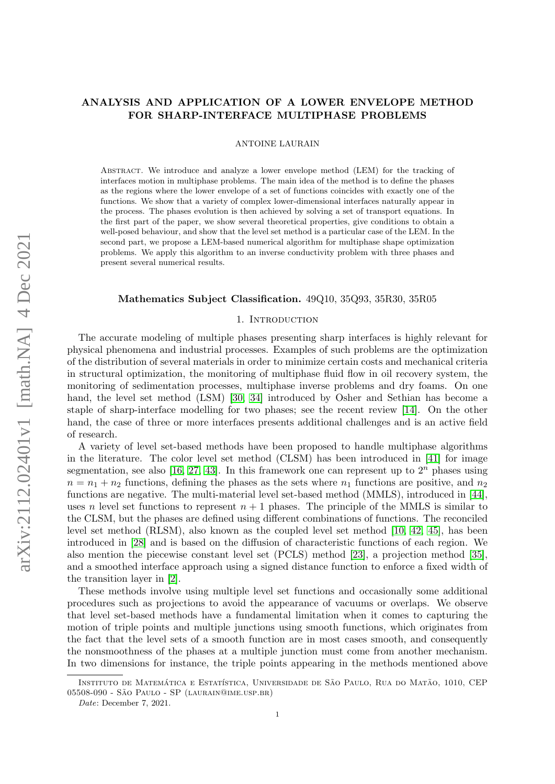# ANALYSIS AND APPLICATION OF A LOWER ENVELOPE METHOD FOR SHARP-INTERFACE MULTIPHASE PROBLEMS

ANTOINE LAURAIN

Abstract. We introduce and analyze a lower envelope method (LEM) for the tracking of interfaces motion in multiphase problems. The main idea of the method is to define the phases as the regions where the lower envelope of a set of functions coincides with exactly one of the functions. We show that a variety of complex lower-dimensional interfaces naturally appear in the process. The phases evolution is then achieved by solving a set of transport equations. In the first part of the paper, we show several theoretical properties, give conditions to obtain a well-posed behaviour, and show that the level set method is a particular case of the LEM. In the second part, we propose a LEM-based numerical algorithm for multiphase shape optimization problems. We apply this algorithm to an inverse conductivity problem with three phases and present several numerical results.

### Mathematics Subject Classification. 49Q10, 35Q93, 35R30, 35R05

### 1. INTRODUCTION

The accurate modeling of multiple phases presenting sharp interfaces is highly relevant for physical phenomena and industrial processes. Examples of such problems are the optimization of the distribution of several materials in order to minimize certain costs and mechanical criteria in structural optimization, the monitoring of multiphase fluid flow in oil recovery system, the monitoring of sedimentation processes, multiphase inverse problems and dry foams. On one hand, the level set method (LSM) [\[30,](#page-21-0) [34\]](#page-21-1) introduced by Osher and Sethian has become a staple of sharp-interface modelling for two phases; see the recent review [\[14\]](#page-20-0). On the other hand, the case of three or more interfaces presents additional challenges and is an active field of research.

A variety of level set-based methods have been proposed to handle multiphase algorithms in the literature. The color level set method (CLSM) has been introduced in [\[41\]](#page-21-2) for image segmentation, see also [\[16,](#page-20-1) [27,](#page-21-3) [43\]](#page-21-4). In this framework one can represent up to  $2^n$  phases using  $n = n_1 + n_2$  functions, defining the phases as the sets where  $n_1$  functions are positive, and  $n_2$ functions are negative. The multi-material level set-based method (MMLS), introduced in [\[44\]](#page-21-5), uses n level set functions to represent  $n + 1$  phases. The principle of the MMLS is similar to the CLSM, but the phases are defined using different combinations of functions. The reconciled level set method (RLSM), also known as the coupled level set method [\[10,](#page-20-2) [42,](#page-21-6) [45\]](#page-21-7), has been introduced in [\[28\]](#page-21-8) and is based on the diffusion of characteristic functions of each region. We also mention the piecewise constant level set (PCLS) method [\[23\]](#page-21-9), a projection method [\[35\]](#page-21-10), and a smoothed interface approach using a signed distance function to enforce a fixed width of the transition layer in [\[2\]](#page-19-0).

These methods involve using multiple level set functions and occasionally some additional procedures such as projections to avoid the appearance of vacuums or overlaps. We observe that level set-based methods have a fundamental limitation when it comes to capturing the motion of triple points and multiple junctions using smooth functions, which originates from the fact that the level sets of a smooth function are in most cases smooth, and consequently the nonsmoothness of the phases at a multiple junction must come from another mechanism. In two dimensions for instance, the triple points appearing in the methods mentioned above

INSTITUTO DE MATEMÁTICA E ESTATÍSTICA, UNIVERSIDADE DE SÃO PAULO, RUA DO MATÃO, 1010, CEP 05508-090 - SÃO PAULO - SP (LAURAIN@IME.USP.BR)

Date: December 7, 2021.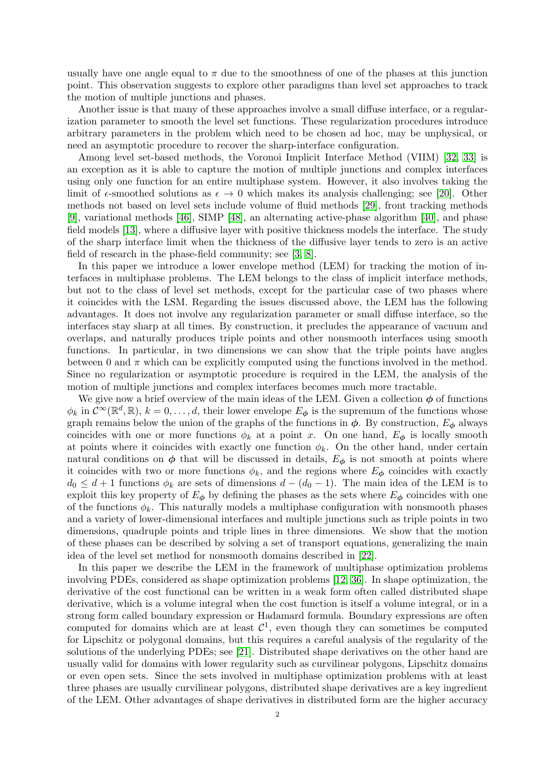usually have one angle equal to  $\pi$  due to the smoothness of one of the phases at this junction point. This observation suggests to explore other paradigms than level set approaches to track the motion of multiple junctions and phases.

Another issue is that many of these approaches involve a small diffuse interface, or a regularization parameter to smooth the level set functions. These regularization procedures introduce arbitrary parameters in the problem which need to be chosen ad hoc, may be unphysical, or need an asymptotic procedure to recover the sharp-interface configuration.

Among level set-based methods, the Voronoi Implicit Interface Method (VIIM) [\[32,](#page-21-11) [33\]](#page-21-12) is an exception as it is able to capture the motion of multiple junctions and complex interfaces using only one function for an entire multiphase system. However, it also involves taking the limit of  $\epsilon$ -smoothed solutions as  $\epsilon \to 0$  which makes its analysis challenging; see [\[20\]](#page-21-13). Other methods not based on level sets include volume of fluid methods [\[29\]](#page-21-14), front tracking methods [\[9\]](#page-19-1), variational methods [\[46\]](#page-21-15), SIMP [\[48\]](#page-22-0), an alternating active-phase algorithm [\[40\]](#page-21-16), and phase field models [\[13\]](#page-20-3), where a diffusive layer with positive thickness models the interface. The study of the sharp interface limit when the thickness of the diffusive layer tends to zero is an active field of research in the phase-field community; see [\[3,](#page-19-2) [8\]](#page-19-3).

In this paper we introduce a lower envelope method (LEM) for tracking the motion of interfaces in multiphase problems. The LEM belongs to the class of implicit interface methods, but not to the class of level set methods, except for the particular case of two phases where it coincides with the LSM. Regarding the issues discussed above, the LEM has the following advantages. It does not involve any regularization parameter or small diffuse interface, so the interfaces stay sharp at all times. By construction, it precludes the appearance of vacuum and overlaps, and naturally produces triple points and other nonsmooth interfaces using smooth functions. In particular, in two dimensions we can show that the triple points have angles between 0 and  $\pi$  which can be explicitly computed using the functions involved in the method. Since no regularization or asymptotic procedure is required in the LEM, the analysis of the motion of multiple junctions and complex interfaces becomes much more tractable.

We give now a brief overview of the main ideas of the LEM. Given a collection  $\phi$  of functions  $\phi_k$  in  $\mathcal{C}^{\infty}(\mathbb{R}^d, \mathbb{R}), k = 0, \ldots, d$ , their lower envelope  $E_{\phi}$  is the supremum of the functions whose graph remains below the union of the graphs of the functions in  $\phi$ . By construction,  $E_{\phi}$  always coincides with one or more functions  $\phi_k$  at a point x. On one hand,  $E_{\phi}$  is locally smooth at points where it coincides with exactly one function  $\phi_k$ . On the other hand, under certain natural conditions on  $\phi$  that will be discussed in details,  $E_{\phi}$  is not smooth at points where it coincides with two or more functions  $\phi_k$ , and the regions where  $E_{\phi}$  coincides with exactly  $d_0 \leq d+1$  functions  $\phi_k$  are sets of dimensions  $d - (d_0 - 1)$ . The main idea of the LEM is to exploit this key property of  $E_{\phi}$  by defining the phases as the sets where  $E_{\phi}$  coincides with one of the functions  $\phi_k$ . This naturally models a multiphase configuration with nonsmooth phases and a variety of lower-dimensional interfaces and multiple junctions such as triple points in two dimensions, quadruple points and triple lines in three dimensions. We show that the motion of these phases can be described by solving a set of transport equations, generalizing the main idea of the level set method for nonsmooth domains described in [\[22\]](#page-21-17).

In this paper we describe the LEM in the framework of multiphase optimization problems involving PDEs, considered as shape optimization problems [\[12,](#page-20-4) [36\]](#page-21-18). In shape optimization, the derivative of the cost functional can be written in a weak form often called distributed shape derivative, which is a volume integral when the cost function is itself a volume integral, or in a strong form called boundary expression or Hadamard formula. Boundary expressions are often computed for domains which are at least  $\mathcal{C}^1$ , even though they can sometimes be computed for Lipschitz or polygonal domains, but this requires a careful analysis of the regularity of the solutions of the underlying PDEs; see [\[21\]](#page-21-19). Distributed shape derivatives on the other hand are usually valid for domains with lower regularity such as curvilinear polygons, Lipschitz domains or even open sets. Since the sets involved in multiphase optimization problems with at least three phases are usually curvilinear polygons, distributed shape derivatives are a key ingredient of the LEM. Other advantages of shape derivatives in distributed form are the higher accuracy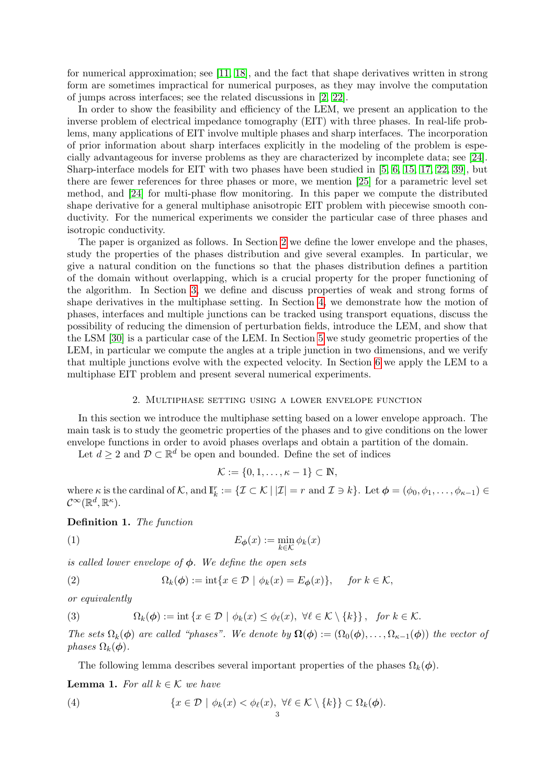for numerical approximation; see [\[11,](#page-20-5) [18\]](#page-21-20), and the fact that shape derivatives written in strong form are sometimes impractical for numerical purposes, as they may involve the computation of jumps across interfaces; see the related discussions in [\[2,](#page-19-0) [22\]](#page-21-17).

In order to show the feasibility and efficiency of the LEM, we present an application to the inverse problem of electrical impedance tomography (EIT) with three phases. In real-life problems, many applications of EIT involve multiple phases and sharp interfaces. The incorporation of prior information about sharp interfaces explicitly in the modeling of the problem is especially advantageous for inverse problems as they are characterized by incomplete data; see [\[24\]](#page-21-21). Sharp-interface models for EIT with two phases have been studied in [\[5,](#page-19-4) [6,](#page-19-5) [15,](#page-20-6) [17,](#page-20-7) [22,](#page-21-17) [39\]](#page-21-22), but there are fewer references for three phases or more, we mention [\[25\]](#page-21-23) for a parametric level set method, and [\[24\]](#page-21-21) for multi-phase flow monitoring. In this paper we compute the distributed shape derivative for a general multiphase anisotropic EIT problem with piecewise smooth conductivity. For the numerical experiments we consider the particular case of three phases and isotropic conductivity.

The paper is organized as follows. In Section [2](#page-2-0) we define the lower envelope and the phases, study the properties of the phases distribution and give several examples. In particular, we give a natural condition on the functions so that the phases distribution defines a partition of the domain without overlapping, which is a crucial property for the proper functioning of the algorithm. In Section [3,](#page-7-0) we define and discuss properties of weak and strong forms of shape derivatives in the multiphase setting. In Section [4,](#page-9-0) we demonstrate how the motion of phases, interfaces and multiple junctions can be tracked using transport equations, discuss the possibility of reducing the dimension of perturbation fields, introduce the LEM, and show that the LSM [\[30\]](#page-21-0) is a particular case of the LEM. In Section [5](#page-11-0) we study geometric properties of the LEM, in particular we compute the angles at a triple junction in two dimensions, and we verify that multiple junctions evolve with the expected velocity. In Section [6](#page-13-0) we apply the LEM to a multiphase EIT problem and present several numerical experiments.

#### 2. Multiphase setting using a lower envelope function

<span id="page-2-0"></span>In this section we introduce the multiphase setting based on a lower envelope approach. The main task is to study the geometric properties of the phases and to give conditions on the lower envelope functions in order to avoid phases overlaps and obtain a partition of the domain.

Let  $d \geq 2$  and  $\mathcal{D} \subset \mathbb{R}^d$  be open and bounded. Define the set of indices

$$
\mathcal{K} := \{0, 1, \dots, \kappa - 1\} \subset \mathbb{N},
$$

where  $\kappa$  is the cardinal of  $\mathcal{K}$ , and  $\mathbb{I}_k^r := \{ \mathcal{I} \subset \mathcal{K} \mid |\mathcal{I}| = r \text{ and } \mathcal{I} \ni k \}.$  Let  $\phi = (\phi_0, \phi_1, \dots, \phi_{\kappa-1}) \in$  $\mathcal{C}^{\infty}(\mathbb{R}^{d},\mathbb{R}^{\kappa}).$ 

<span id="page-2-4"></span>Definition 1. The function

(1) 
$$
E_{\phi}(x) := \min_{k \in \mathcal{K}} \phi_k(x)
$$

is called lower envelope of  $\phi$ . We define the open sets

<span id="page-2-3"></span>(2) 
$$
\Omega_k(\phi) := \mathrm{int}\{x \in \mathcal{D} \mid \phi_k(x) = E_{\phi}(x)\}, \quad \text{for } k \in \mathcal{K},
$$

or equivalently

<span id="page-2-2"></span>(3) 
$$
\Omega_k(\phi) := \mathrm{int} \{ x \in \mathcal{D} \mid \phi_k(x) \leq \phi_\ell(x), \ \forall \ell \in \mathcal{K} \setminus \{k\} \}, \ \text{for } k \in \mathcal{K}.
$$

The sets  $\Omega_k(\phi)$  are called "phases". We denote by  $\Omega(\phi) := (\Omega_0(\phi), \dots, \Omega_{\kappa-1}(\phi))$  the vector of phases  $\Omega_k(\phi)$ .

<span id="page-2-1"></span>The following lemma describes several important properties of the phases  $\Omega_k(\phi)$ .

<span id="page-2-5"></span>**Lemma 1.** For all  $k \in \mathcal{K}$  we have

(4) 
$$
\{x \in \mathcal{D} \mid \phi_k(x) < \phi_\ell(x), \ \forall \ell \in \mathcal{K} \setminus \{k\} \} \subset \Omega_k(\phi).
$$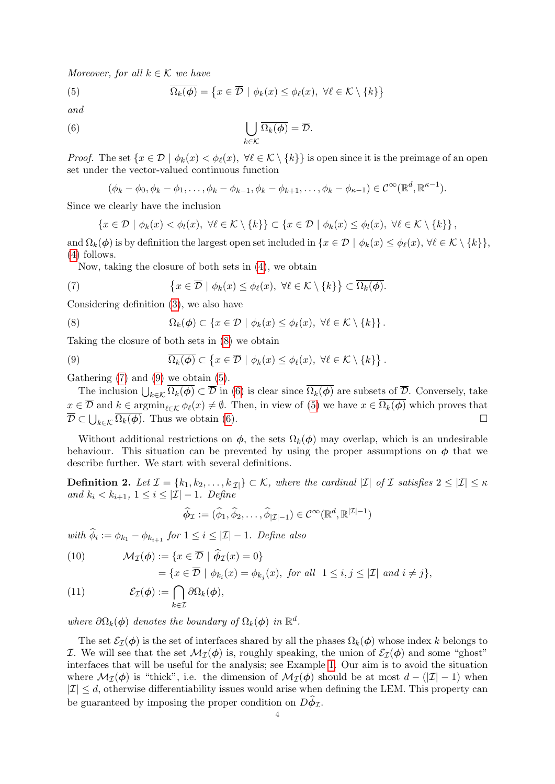Moreover, for all  $k \in \mathcal{K}$  we have

<span id="page-3-3"></span>(5) 
$$
\overline{\Omega_k(\phi)} = \{x \in \overline{\mathcal{D}} \mid \phi_k(x) \leq \phi_\ell(x), \ \forall \ell \in \mathcal{K} \setminus \{k\}\}
$$

and

(6) 
$$
\bigcup_{k \in \mathcal{K}} \overline{\Omega_k(\phi)} = \overline{\mathcal{D}}.
$$

*Proof.* The set  $\{x \in \mathcal{D} \mid \phi_k(x) < \phi_\ell(x), \forall \ell \in \mathcal{K} \setminus \{k\}\}\$ is open since it is the preimage of an open set under the vector-valued continuous function

<span id="page-3-4"></span>
$$
(\phi_k - \phi_0, \phi_k - \phi_1, \dots, \phi_k - \phi_{k-1}, \phi_k - \phi_{k+1}, \dots, \phi_k - \phi_{k-1}) \in \mathcal{C}^{\infty}(\mathbb{R}^d, \mathbb{R}^{\kappa-1}).
$$

Since we clearly have the inclusion

$$
\{x \in \mathcal{D} \mid \phi_k(x) < \phi_l(x), \ \forall \ell \in \mathcal{K} \setminus \{k\} \} \subset \{x \in \mathcal{D} \mid \phi_k(x) \leq \phi_l(x), \ \forall \ell \in \mathcal{K} \setminus \{k\} \},
$$

and  $\Omega_k(\phi)$  is by definition the largest open set included in  $\{x \in \mathcal{D} \mid \phi_k(x) \leq \phi_\ell(x), \forall \ell \in \mathcal{K} \setminus \{k\}\},\$ [\(4\)](#page-2-1) follows.

<span id="page-3-1"></span>Now, taking the closure of both sets in [\(4\)](#page-2-1), we obtain

(7) 
$$
\{x \in \overline{\mathcal{D}} \mid \phi_k(x) \leq \phi_\ell(x), \ \forall \ell \in \mathcal{K} \setminus \{k\}\} \subset \overline{\Omega_k(\phi)}.
$$

Considering definition [\(3\)](#page-2-2), we also have

<span id="page-3-0"></span>(8) 
$$
\Omega_k(\phi) \subset \{x \in \mathcal{D} \mid \phi_k(x) \leq \phi_\ell(x), \ \forall \ell \in \mathcal{K} \setminus \{k\} \}.
$$

Taking the closure of both sets in [\(8\)](#page-3-0) we obtain

<span id="page-3-2"></span>(9) 
$$
\overline{\Omega_k(\phi)} \subset \left\{ x \in \overline{\mathcal{D}} \mid \phi_k(x) \leq \phi_\ell(x), \ \forall \ell \in \mathcal{K} \setminus \{k\} \right\}.
$$

Gathering  $(7)$  and  $(9)$  we obtain  $(5)$ .

The inclusion  $\bigcup_{k\in\mathcal{K}}\Omega_k(\phi)\subset\overline{\mathcal{D}}$  in [\(6\)](#page-3-4) is clear since  $\Omega_k(\phi)$  are subsets of  $\overline{\mathcal{D}}$ . Conversely, take  $x \in \overline{\mathcal{D}}$  and  $k \in \operatorname{argmin}_{\ell \in \mathcal{K}} \phi_{\ell}(x) \neq \emptyset$ . Then, in view of [\(5\)](#page-3-3) we have  $x \in \overline{\Omega_k(\phi)}$  which proves that  $\overline{\mathcal{D}} \subset \bigcup_{k \in \mathcal{K}} \overline{\Omega_k(\phi)}$ . Thus we obtain [\(6\)](#page-3-4).

Without additional restrictions on  $\phi$ , the sets  $\Omega_k(\phi)$  may overlap, which is an undesirable behaviour. This situation can be prevented by using the proper assumptions on  $\phi$  that we describe further. We start with several definitions.

<span id="page-3-7"></span>**Definition 2.** Let  $\mathcal{I} = \{k_1, k_2, \ldots, k_{|\mathcal{I}|}\}\subset \mathcal{K}$ , where the cardinal  $|\mathcal{I}|$  of  $\mathcal{I}$  satisfies  $2 \leq |\mathcal{I}| \leq \kappa$ and  $k_i < k_{i+1}, 1 \leq i \leq |\mathcal{I}| - 1$ . Define

$$
\widehat{\phi}_{\mathcal{I}} := (\widehat{\phi}_1, \widehat{\phi}_2, \dots, \widehat{\phi}_{|\mathcal{I}|-1}) \in \mathcal{C}^{\infty}(\mathbb{R}^d, \mathbb{R}^{|\mathcal{I}|-1})
$$

with  $\phi_i := \phi_{k_1} - \phi_{k_{i+1}}$  for  $1 \leq i \leq |\mathcal{I}| - 1$ . Define also

<span id="page-3-5"></span>(10) 
$$
\mathcal{M}_{\mathcal{I}}(\phi) := \{ x \in \overline{\mathcal{D}} \mid \widehat{\phi}_{\mathcal{I}}(x) = 0 \}
$$

$$
= \{ x \in \overline{\mathcal{D}} \mid \phi_{k_i}(x) = \phi_{k_j}(x), \text{ for all } 1 \le i, j \le |\mathcal{I}| \text{ and } i \ne j \},
$$

<span id="page-3-6"></span>(11) 
$$
\mathcal{E}_{\mathcal{I}}(\boldsymbol{\phi}) := \bigcap_{k \in \mathcal{I}} \partial \Omega_k(\boldsymbol{\phi}),
$$

where  $\partial\Omega_k(\phi)$  denotes the boundary of  $\Omega_k(\phi)$  in  $\mathbb{R}^d$ .

The set  $\mathcal{E}_I(\phi)$  is the set of interfaces shared by all the phases  $\Omega_k(\phi)$  whose index k belongs to I. We will see that the set  $\mathcal{M}_{\mathcal{I}}(\phi)$  is, roughly speaking, the union of  $\mathcal{E}_{\mathcal{I}}(\phi)$  and some "ghost" interfaces that will be useful for the analysis; see Example [1.](#page-5-0) Our aim is to avoid the situation where  $\mathcal{M}_{\mathcal{I}}(\phi)$  is "thick", i.e. the dimension of  $\mathcal{M}_{\mathcal{I}}(\phi)$  should be at most  $d - (|\mathcal{I}| - 1)$  when  $|I| \leq d$ , otherwise differentiability issues would arise when defining the LEM. This property can be guaranteed by imposing the proper condition on  $D\phi_{\mathcal{I}}$ .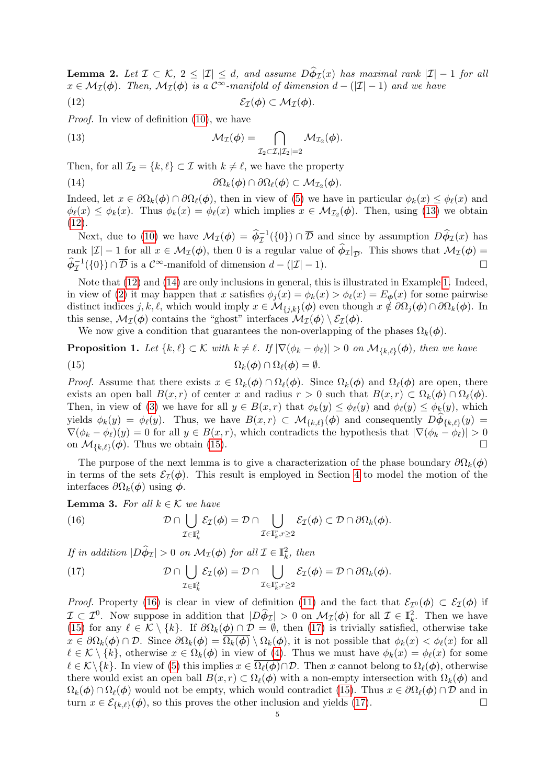<span id="page-4-7"></span>**Lemma 2.** Let  $\mathcal{I} \subset \mathcal{K}, 2 \leq |\mathcal{I}| \leq d$ , and assume  $D\phi_{\mathcal{I}}(x)$  has maximal rank  $|\mathcal{I}| - 1$  for all  $x \in \mathcal{M}_{\mathcal{I}}(\phi)$ . Then,  $\mathcal{M}_{\mathcal{I}}(\phi)$  is a  $\mathcal{C}^{\infty}$ -manifold of dimension  $d - (|\mathcal{I}| - 1)$  and we have

<span id="page-4-1"></span>
$$
(12) \t\t\t\t\mathcal{E}_{\mathcal{I}}(\phi) \subset \mathcal{M}_{\mathcal{I}}(\phi).
$$

Proof. In view of definition [\(10\)](#page-3-5), we have

<span id="page-4-0"></span>(13) 
$$
\mathcal{M}_{\mathcal{I}}(\boldsymbol{\phi}) = \bigcap_{\mathcal{I}_2 \subset \mathcal{I}, |\mathcal{I}_2| = 2} \mathcal{M}_{\mathcal{I}_2}(\boldsymbol{\phi}).
$$

Then, for all  $\mathcal{I}_2 = \{k, \ell\} \subset \mathcal{I}$  with  $k \neq \ell$ , we have the property

<span id="page-4-2"></span>(14) 
$$
\partial\Omega_k(\phi)\cap\partial\Omega_\ell(\phi)\subset\mathcal{M}_{\mathcal{I}_2}(\phi).
$$

Indeed, let  $x \in \partial \Omega_k(\phi) \cap \partial \Omega_\ell(\phi)$ , then in view of [\(5\)](#page-3-3) we have in particular  $\phi_k(x) \leq \phi_\ell(x)$  and  $\phi_{\ell}(x) \leq \phi_k(x)$ . Thus  $\phi_k(x) = \phi_{\ell}(x)$  which implies  $x \in M_{\mathcal{I}_2}(\phi)$ . Then, using [\(13\)](#page-4-0) we obtain [\(12\)](#page-4-1).

Next, due to [\(10\)](#page-3-5) we have  $\mathcal{M}_{\mathcal{I}}(\phi) = \hat{\phi}_{\mathcal{I}}^{-1}(\{0\}) \cap \overline{\mathcal{D}}$  and since by assumption  $D\hat{\phi}_{\mathcal{I}}(x)$  has rank  $|\mathcal{I}| - 1$  for all  $x \in \mathcal{M}_{\mathcal{I}}(\phi)$ , then 0 is a regular value of  $\phi_{\mathcal{I}}|_{\overline{\mathcal{D}}}$ . This shows that  $\mathcal{M}_{\mathcal{I}}(\phi) =$  $\widehat{\phi}_{\mathcal{I}}^{-1}(\{0\}) \cap \overline{\mathcal{D}}$  is a  $\mathcal{C}^{\infty}$ -manifold of dimension  $d - (|\mathcal{I}| - 1)$ .

Note that [\(12\)](#page-4-1) and [\(14\)](#page-4-2) are only inclusions in general, this is illustrated in Example [1.](#page-5-0) Indeed, in view of [\(2\)](#page-2-3) it may happen that x satisfies  $\phi_i(x) = \phi_k(x) > \phi_\ell(x) = E_\phi(x)$  for some pairwise distinct indices  $j, k, \ell$ , which would imply  $x \in \mathcal{M}_{\{j,k\}}(\phi)$  even though  $x \notin \partial \Omega_j(\phi) \cap \partial \Omega_k(\phi)$ . In this sense,  $\mathcal{M}_{\mathcal{I}}(\phi)$  contains the "ghost" interfaces  $\mathcal{M}_{\mathcal{I}}(\phi) \setminus \mathcal{E}_{\mathcal{I}}(\phi)$ .

<span id="page-4-3"></span>We now give a condition that guarantees the non-overlapping of the phases  $\Omega_k(\phi)$ .

<span id="page-4-6"></span>**Proposition 1.** Let  $\{k, \ell\} \subset \mathcal{K}$  with  $k \neq \ell$ . If  $|\nabla(\phi_k - \phi_{\ell})| > 0$  on  $\mathcal{M}_{\{k, \ell\}}(\phi)$ , then we have (15)  $\Omega_k(\phi) \cap \Omega_\ell(\phi) = \emptyset.$ 

*Proof.* Assume that there exists  $x \in \Omega_k(\phi) \cap \Omega_\ell(\phi)$ . Since  $\Omega_k(\phi)$  and  $\Omega_\ell(\phi)$  are open, there exists an open ball  $B(x, r)$  of center x and radius  $r > 0$  such that  $B(x, r) \subset \Omega_k(\phi) \cap \Omega_\ell(\phi)$ . Then, in view of [\(3\)](#page-2-2) we have for all  $y \in B(x,r)$  that  $\phi_k(y) \leq \phi_k(y)$  and  $\phi_k(y) \leq \phi_k(y)$ , which yields  $\phi_k(y) = \phi_\ell(y)$ . Thus, we have  $B(x, r) \subset \mathcal{M}_{\{k,\ell\}}(\phi)$  and consequently  $D\phi_{\{k,\ell\}}(y) =$  $\nabla(\phi_k - \phi_\ell)(y) = 0$  for all  $y \in B(x, r)$ , which contradicts the hypothesis that  $|\nabla(\phi_k - \phi_\ell)| > 0$ on  $\mathcal{M}_{\{k,\ell\}}(\phi)$ . Thus we obtain [\(15\)](#page-4-3).

The purpose of the next lemma is to give a characterization of the phase boundary  $\partial\Omega_k(\phi)$ in terms of the sets  $\mathcal{E}_I(\phi)$ . This result is employed in Section [4](#page-9-0) to model the motion of the interfaces  $\partial \Omega_k(\phi)$  using  $\phi$ .

<span id="page-4-8"></span>**Lemma 3.** For all  $k \in \mathcal{K}$  we have

<span id="page-4-4"></span>(16) 
$$
\mathcal{D} \cap \bigcup_{\mathcal{I} \in \mathbb{I}_k^2} \mathcal{E}_{\mathcal{I}}(\phi) = \mathcal{D} \cap \bigcup_{\mathcal{I} \in \mathbb{I}_k^r, r \geq 2} \mathcal{E}_{\mathcal{I}}(\phi) \subset \mathcal{D} \cap \partial \Omega_k(\phi).
$$

If in addition  $|D\hat{\phi}_{\mathcal{I}}| > 0$  on  $\mathcal{M}_{\mathcal{I}}(\phi)$  for all  $\mathcal{I} \in \mathbb{I}_{k}^{2}$ , then

<span id="page-4-5"></span>(17) 
$$
\mathcal{D} \cap \bigcup_{\mathcal{I} \in \mathbb{I}_k^2} \mathcal{E}_{\mathcal{I}}(\phi) = \mathcal{D} \cap \bigcup_{\mathcal{I} \in \mathbb{I}_k^r, r \geq 2} \mathcal{E}_{\mathcal{I}}(\phi) = \mathcal{D} \cap \partial \Omega_k(\phi).
$$

*Proof.* Property [\(16\)](#page-4-4) is clear in view of definition [\(11\)](#page-3-6) and the fact that  $\mathcal{E}_{\mathcal{I}^0}(\phi) \subset \mathcal{E}_{\mathcal{I}}(\phi)$  if  $\mathcal{I} \subset \mathcal{I}^0$ . Now suppose in addition that  $|D\hat{\phi}_{\mathcal{I}}| > 0$  on  $\mathcal{M}_{\mathcal{I}}(\phi)$  for all  $\mathcal{I} \in \mathbb{I}^2_k$ . Then we have [\(15\)](#page-4-3) for any  $\ell \in \mathcal{K} \setminus \{k\}$ . If  $\partial \Omega_k(\phi) \cap \mathcal{D} = \emptyset$ , then [\(17\)](#page-4-5) is trivially satisfied, otherwise take  $x \in \partial\Omega_k(\phi) \cap \mathcal{D}$ . Since  $\partial\Omega_k(\phi) = \overline{\Omega_k(\phi)} \setminus \Omega_k(\phi)$ , it is not possible that  $\phi_k(x) < \phi_\ell(x)$  for all  $\ell \in \mathcal{K} \setminus \{k\}$ , otherwise  $x \in \Omega_k(\phi)$  in view of [\(4\)](#page-2-1). Thus we must have  $\phi_k(x) = \phi_\ell(x)$  for some  $\ell \in \mathcal{K}\backslash\{k\}.$  In view of [\(5\)](#page-3-3) this implies  $x \in \overline{\Omega_{\ell}(\phi)} \cap \mathcal{D}$ . Then x cannot belong to  $\Omega_{\ell}(\phi)$ , otherwise there would exist an open ball  $B(x, r) \subset \Omega_\ell(\phi)$  with a non-empty intersection with  $\Omega_k(\phi)$  and  $\Omega_k(\phi) \cap \Omega_\ell(\phi)$  would not be empty, which would contradict [\(15\)](#page-4-3). Thus  $x \in \partial \Omega_\ell(\phi) \cap \mathcal{D}$  and in turn  $x \in \mathcal{E}_{\{k,\ell\}}(\phi)$ , so this proves the other inclusion and yields [\(17\)](#page-4-5).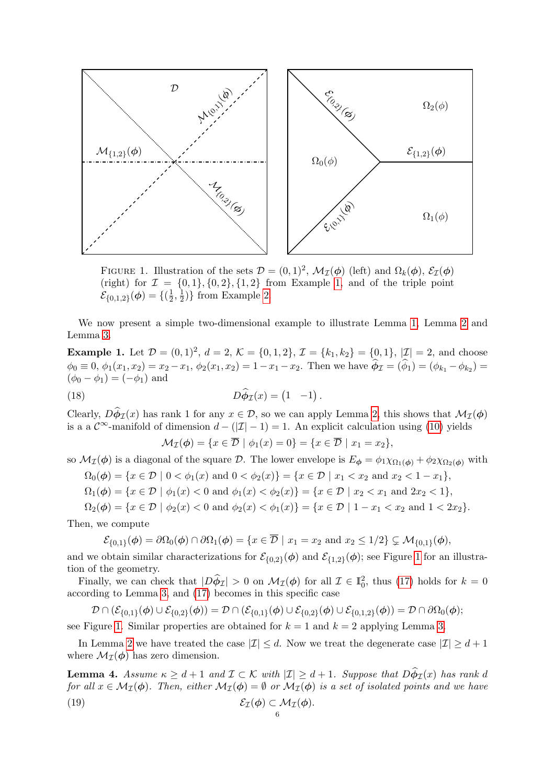<span id="page-5-1"></span>

FIGURE 1. Illustration of the sets  $\mathcal{D} = (0,1)^2$ ,  $\mathcal{M}_{\mathcal{I}}(\phi)$  (left) and  $\Omega_k(\phi)$ ,  $\mathcal{E}_{\mathcal{I}}(\phi)$ (right) for  $\mathcal{I} = \{0, 1\}, \{0, 2\}, \{1, 2\}$  from Example [1,](#page-5-0) and of the triple point  $\mathcal{E}_{\{0,1,2\}}(\boldsymbol\phi)=\{(\frac{1}{2}% \hat{\phi}_{1}^{(1)}\boldsymbol\phi_{2}^{(1)}\boldsymbol\phi_{2}^{(1)}\}\nonumber$  $\frac{1}{2}, \frac{1}{2}$  $\frac{1}{2}$ } from Example [2.](#page-6-0)

We now present a simple two-dimensional example to illustrate Lemma [1,](#page-4-6) Lemma [2](#page-4-7) and Lemma [3.](#page-4-8)

<span id="page-5-0"></span>**Example 1.** Let  $\mathcal{D} = (0, 1)^2$ ,  $d = 2$ ,  $\mathcal{K} = \{0, 1, 2\}$ ,  $\mathcal{I} = \{k_1, k_2\} = \{0, 1\}$ ,  $|\mathcal{I}| = 2$ , and choose  $\phi_0 \equiv 0, \phi_1(x_1, x_2) = x_2 - x_1, \phi_2(x_1, x_2) = 1 - x_1 - x_2.$  Then we have  $\phi_{\mathcal{I}} = (\phi_1) = (\phi_{k_1} - \phi_{k_2}) =$  $(\phi_0 - \phi_1) = (-\phi_1)$  and

(18) 
$$
D\hat{\phi}_{\mathcal{I}}(x) = (1 \quad -1).
$$

Clearly,  $D\phi_{\mathcal{I}}(x)$  has rank 1 for any  $x \in \mathcal{D}$ , so we can apply Lemma [2,](#page-4-7) this shows that  $\mathcal{M}_{\mathcal{I}}(\phi)$ is a a  $\mathcal{C}^{\infty}$ -manifold of dimension  $d - (|\mathcal{I}| - 1) = 1$ . An explicit calculation using [\(10\)](#page-3-5) yields

$$
\mathcal{M}_{\mathcal{I}}(\boldsymbol{\phi}) = \{ x \in \overline{\mathcal{D}} \mid \phi_1(x) = 0 \} = \{ x \in \overline{\mathcal{D}} \mid x_1 = x_2 \},
$$

so  $\mathcal{M}_{\mathcal{I}}(\phi)$  is a diagonal of the square D. The lower envelope is  $E_{\phi} = \phi_1 \chi_{\Omega_1(\phi)} + \phi_2 \chi_{\Omega_2(\phi)}$  with

$$
\Omega_0(\phi) = \{ x \in \mathcal{D} \mid 0 < \phi_1(x) \text{ and } 0 < \phi_2(x) \} = \{ x \in \mathcal{D} \mid x_1 < x_2 \text{ and } x_2 < 1 - x_1 \},
$$

 $\Omega_1(\phi) = \{x \in \mathcal{D} \mid \phi_1(x) < 0 \text{ and } \phi_1(x) < \phi_2(x)\} = \{x \in \mathcal{D} \mid x_2 < x_1 \text{ and } 2x_2 < 1\},\$ 

 $\Omega_2(\phi) = \{x \in \mathcal{D} \mid \phi_2(x) < 0 \text{ and } \phi_2(x) < \phi_1(x)\} = \{x \in \mathcal{D} \mid 1 - x_1 < x_2 \text{ and } 1 < 2x_2\}.$ 

Then, we compute

$$
\mathcal{E}_{\{0,1\}}(\phi) = \partial \Omega_0(\phi) \cap \partial \Omega_1(\phi) = \{x \in \overline{\mathcal{D}} \mid x_1 = x_2 \text{ and } x_2 \le 1/2\} \subsetneq \mathcal{M}_{\{0,1\}}(\phi),
$$

and we obtain similar characterizations for  $\mathcal{E}_{\{0,2\}}(\phi)$  and  $\mathcal{E}_{\{1,2\}}(\phi)$ ; see Figure [1](#page-5-1) for an illustration of the geometry.

Finally, we can check that  $|D\hat{\phi}_{\mathcal{I}}| > 0$  on  $\mathcal{M}_{\mathcal{I}}(\phi)$  for all  $\mathcal{I} \in \mathbb{I}_{0}^{2}$ , thus [\(17\)](#page-4-5) holds for  $k = 0$ according to Lemma [3,](#page-4-8) and [\(17\)](#page-4-5) becomes in this specific case

$$
\mathcal{D}\cap(\mathcal{E}_{\{0,1\}}(\phi)\cup\mathcal{E}_{\{0,2\}}(\phi))=\mathcal{D}\cap(\mathcal{E}_{\{0,1\}}(\phi)\cup\mathcal{E}_{\{0,2\}}(\phi)\cup\mathcal{E}_{\{0,1,2\}}(\phi))=\mathcal{D}\cap\partial\Omega_0(\phi);
$$

see Figure [1.](#page-5-1) Similar properties are obtained for  $k = 1$  and  $k = 2$  applying Lemma [3.](#page-4-8)

In Lemma [2](#page-4-7) we have treated the case  $|\mathcal{I}| \leq d$ . Now we treat the degenerate case  $|\mathcal{I}| \geq d+1$ where  $\mathcal{M}_{\mathcal{I}}(\boldsymbol{\phi})$  has zero dimension.

<span id="page-5-2"></span>**Lemma 4.** Assume  $\kappa \geq d+1$  and  $\mathcal{I} \subset \mathcal{K}$  with  $|\mathcal{I}| \geq d+1$ . Suppose that  $D\phi_{\mathcal{I}}(x)$  has rank d for all  $x \in M_{\mathcal{I}}(\phi)$ . Then, either  $M_{\mathcal{I}}(\phi) = \emptyset$  or  $M_{\mathcal{I}}(\phi)$  is a set of isolated points and we have (19)  $\mathcal{E}_{\tau}(\phi) \subset \mathcal{M}_{\tau}(\phi)$ .

<span id="page-5-3"></span>
$$
6\quad
$$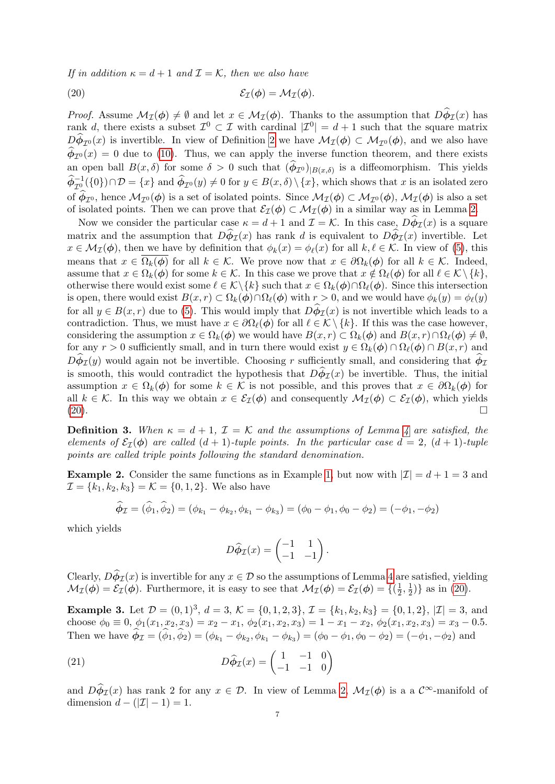If in addition  $\kappa = d + 1$  and  $\mathcal{I} = \mathcal{K}$ , then we also have

<span id="page-6-1"></span>(20) 
$$
\mathcal{E}_{\mathcal{I}}(\phi) = \mathcal{M}_{\mathcal{I}}(\phi).
$$

*Proof.* Assume  $\mathcal{M}_{\mathcal{I}}(\phi) \neq \emptyset$  and let  $x \in \mathcal{M}_{\mathcal{I}}(\phi)$ . Thanks to the assumption that  $D\phi_{\mathcal{I}}(x)$  has rank d, there exists a subset  $\mathcal{I}^0 \subset \mathcal{I}$  with cardinal  $|\mathcal{I}^0| = d + 1$  such that the square matrix  $D\phi_{\mathcal{I}^0}(x)$  is invertible. In view of Definition [2](#page-3-7) we have  $\mathcal{M}_{\mathcal{I}}(\phi) \subset \mathcal{M}_{\mathcal{I}^0}(\phi)$ , and we also have  $\phi_{\mathcal{I}^0}(x) = 0$  due to [\(10\)](#page-3-5). Thus, we can apply the inverse function theorem, and there exists an open ball  $B(x, \delta)$  for some  $\delta > 0$  such that  $(\phi_{\mathcal{I}^0})_{|B(x,\delta)}$  is a diffeomorphism. This yields  $\widehat{\phi}_{\mathcal{I}_{\infty}}^{-1}(\{0\}) \cap \mathcal{D} = \{x\}$  and  $\widehat{\phi}_{\mathcal{I}^{0}}(y) \neq 0$  for  $y \in B(x,\delta) \setminus \{x\}$ , which shows that x is an isolated zero of  $\phi_{\mathcal{I}^0}$ , hence  $\mathcal{M}_{\mathcal{I}^0}(\phi)$  is a set of isolated points. Since  $\mathcal{M}_{\mathcal{I}}(\phi) \subset \mathcal{M}_{\mathcal{I}^0}(\phi)$ ,  $\mathcal{M}_{\mathcal{I}}(\phi)$  is also a set of isolated points. Then we can prove that  $\mathcal{E}_{\mathcal{I}}(\phi) \subset \mathcal{M}_{\mathcal{I}}(\phi)$  in a similar way as in Lemma [2.](#page-4-7)

Now we consider the particular case  $\kappa = d + 1$  and  $\mathcal{I} = \mathcal{K}$ . In this case,  $D\phi_{\mathcal{I}}(x)$  is a square matrix and the assumption that  $D\phi_{\mathcal{I}}(x)$  has rank d is equivalent to  $D\phi_{\mathcal{I}}(x)$  invertible. Let  $x \in M_{\mathcal{I}}(\phi)$ , then we have by definition that  $\phi_k(x) = \phi_\ell(x)$  for all  $k, \ell \in \mathcal{K}$ . In view of [\(5\)](#page-3-3), this means that  $x \in \Omega_k(\phi)$  for all  $k \in \mathcal{K}$ . We prove now that  $x \in \partial \Omega_k(\phi)$  for all  $k \in \mathcal{K}$ . Indeed, assume that  $x \in \Omega_k(\phi)$  for some  $k \in \mathcal{K}$ . In this case we prove that  $x \notin \Omega_\ell(\phi)$  for all  $\ell \in \mathcal{K} \setminus \{k\},\$ otherwise there would exist some  $\ell \in \mathcal{K}\backslash \{k\}$  such that  $x \in \Omega_k(\phi) \cap \Omega_\ell(\phi)$ . Since this intersection is open, there would exist  $B(x, r) \subset \Omega_k(\phi) \cap \Omega_\ell(\phi)$  with  $r > 0$ , and we would have  $\phi_k(y) = \phi_\ell(y)$ for all  $y \in B(x, r)$  due to [\(5\)](#page-3-3). This would imply that  $D\phi_{\mathcal{I}}(x)$  is not invertible which leads to a contradiction. Thus, we must have  $x \in \partial \Omega_{\ell}(\phi)$  for all  $\ell \in \mathcal{K} \setminus \{k\}$ . If this was the case however, considering the assumption  $x \in \Omega_k(\phi)$  we would have  $B(x, r) \subset \Omega_k(\phi)$  and  $B(x, r) \cap \Omega_\ell(\phi) \neq \emptyset$ , for any  $r > 0$  sufficiently small, and in turn there would exist  $y \in \Omega_k(\phi) \cap \Omega_\ell(\phi) \cap B(x, r)$  and  $D\phi_{\mathcal{I}}(y)$  would again not be invertible. Choosing r sufficiently small, and considering that  $\phi_{\mathcal{I}}$ is smooth, this would contradict the hypothesis that  $D\phi_{\mathcal{I}}(x)$  be invertible. Thus, the initial assumption  $x \in \Omega_k(\phi)$  for some  $k \in \mathcal{K}$  is not possible, and this proves that  $x \in \partial\Omega_k(\phi)$  for all  $k \in \mathcal{K}$ . In this way we obtain  $x \in \mathcal{E}_{\mathcal{I}}(\phi)$  and consequently  $\mathcal{M}_{\mathcal{I}}(\phi) \subset \mathcal{E}_{\mathcal{I}}(\phi)$ , which yields [\(20\)](#page-6-1).

<span id="page-6-3"></span>**Definition 3.** When  $\kappa = d + 1$ ,  $\mathcal{I} = \mathcal{K}$  and the assumptions of Lemma [4](#page-5-2) are satisfied, the elements of  $\mathcal{E}_I(\phi)$  are called  $(d+1)$ -tuple points. In the particular case  $d=2$ ,  $(d+1)$ -tuple points are called triple points following the standard denomination.

<span id="page-6-0"></span>**Example 2.** Consider the same functions as in Example [1,](#page-5-0) but now with  $|Z| = d + 1 = 3$  and  $\mathcal{I} = \{k_1, k_2, k_3\} = \mathcal{K} = \{0, 1, 2\}.$  We also have

$$
\widehat{\phi}_{\mathcal{I}} = (\widehat{\phi}_1, \widehat{\phi}_2) = (\phi_{k_1} - \phi_{k_2}, \phi_{k_1} - \phi_{k_3}) = (\phi_0 - \phi_1, \phi_0 - \phi_2) = (-\phi_1, -\phi_2)
$$

which yields

$$
D\widehat{\phi}_{\mathcal{I}}(x) = \begin{pmatrix} -1 & 1 \\ -1 & -1 \end{pmatrix}.
$$

Clearly,  $D\phi_{\mathcal{I}}(x)$  is invertible for any  $x \in \mathcal{D}$  so the assumptions of Lemma [4](#page-5-2) are satisfied, yielding  $\mathcal{M}_{\mathcal{I}}(\phi) = \mathcal{E}_{\mathcal{I}}(\phi)$ . Furthermore, it is easy to see that  $\mathcal{M}_{\mathcal{I}}(\phi) = \mathcal{E}_{\mathcal{I}}(\phi) = \{(\frac{1}{2}, \frac{1}{2})\}$  $\frac{1}{2}, \frac{1}{2}$  $(\frac{1}{2})$  as in [\(20\)](#page-6-1).

<span id="page-6-2"></span>**Example 3.** Let  $\mathcal{D} = (0, 1)^3$ ,  $d = 3$ ,  $\mathcal{K} = \{0, 1, 2, 3\}$ ,  $\mathcal{I} = \{k_1, k_2, k_3\} = \{0, 1, 2\}$ ,  $|\mathcal{I}| = 3$ , and choose  $\phi_0 \equiv 0$ ,  $\phi_1(x_1, x_2, x_3) = x_2 - x_1$ ,  $\phi_2(x_1, x_2, x_3) = 1 - x_1 - x_2$ ,  $\phi_2(x_1, x_2, x_3) = x_3 - 0.5$ . Then we have  $\phi_{\mathcal{I}} = (\phi_1, \phi_2) = (\phi_{k_1} - \phi_{k_2}, \phi_{k_1} - \phi_{k_3}) = (\phi_0 - \phi_1, \phi_0 - \phi_2) = (-\phi_1, -\phi_2)$  and

(21) 
$$
D\widehat{\phi}_{\mathcal{I}}(x) = \begin{pmatrix} 1 & -1 & 0 \\ -1 & -1 & 0 \end{pmatrix}
$$

and  $D\hat{\phi}_{\mathcal{I}}(x)$  has rank 2 for any  $x \in \mathcal{D}$ . In view of Lemma [2,](#page-4-7)  $\mathcal{M}_{\mathcal{I}}(\phi)$  is a a  $\mathcal{C}^{\infty}$ -manifold of dimension  $d - (|\mathcal{I}| - 1) = 1$ .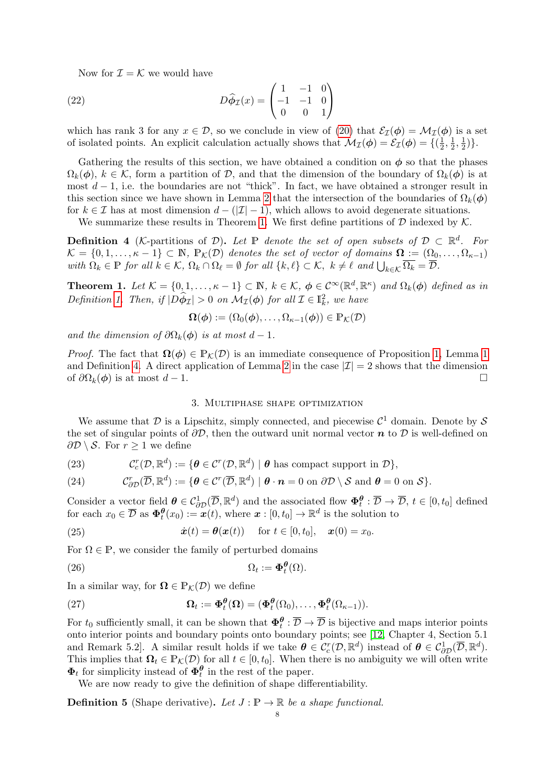Now for  $\mathcal{I} = \mathcal{K}$  we would have

(22) 
$$
D\hat{\phi}_{\mathcal{I}}(x) = \begin{pmatrix} 1 & -1 & 0 \\ -1 & -1 & 0 \\ 0 & 0 & 1 \end{pmatrix}
$$

which has rank 3 for any  $x \in \mathcal{D}$ , so we conclude in view of [\(20\)](#page-6-1) that  $\mathcal{E}_{\mathcal{I}}(\phi) = \mathcal{M}_{\mathcal{I}}(\phi)$  is a set of isolated points. An explicit calculation actually shows that  $\mathcal{M}_{\mathcal{I}}(\phi) = \mathcal{E}_{\mathcal{I}}(\phi) = \{(\frac{1}{2}, \frac{1}{2})\}$  $\frac{1}{2}, \frac{1}{2}$  $\frac{1}{2}, \frac{1}{2}$  $(\frac{1}{2})\}.$ 

Gathering the results of this section, we have obtained a condition on  $\phi$  so that the phases  $\Omega_k(\phi)$ ,  $k \in \mathcal{K}$ , form a partition of D, and that the dimension of the boundary of  $\Omega_k(\phi)$  is at most  $d-1$ , i.e. the boundaries are not "thick". In fact, we have obtained a stronger result in this section since we have shown in Lemma [2](#page-4-7) that the intersection of the boundaries of  $\Omega_k(\phi)$ for  $k \in \mathcal{I}$  has at most dimension  $d - (|\mathcal{I}| - 1)$ , which allows to avoid degenerate situations.

We summarize these results in Theorem [1.](#page-7-1) We first define partitions of  $\mathcal D$  indexed by  $\mathcal K$ .

<span id="page-7-2"></span>**Definition 4** (K-partitions of D). Let P denote the set of open subsets of  $D \subset \mathbb{R}^d$ . For  $\mathcal{K} = \{0, 1, \ldots, \kappa - 1\} \subset \mathbb{N}, \ \mathbb{P}_{\mathcal{K}}(\mathcal{D})$  denotes the set of vector of domains  $\mathbf{\Omega} := (\Omega_0, \ldots, \Omega_{\kappa-1})$ with  $\Omega_k \in \mathbb{P}$  for all  $k \in \mathcal{K}$ ,  $\Omega_k \cap \Omega_\ell = \emptyset$  for all  $\{k, \ell\} \subset \mathcal{K}$ ,  $k \neq \ell$  and  $\bigcup_{k \in \mathcal{K}} \overline{\Omega_k} = \overline{\mathcal{D}}$ .

<span id="page-7-1"></span>**Theorem 1.** Let  $\mathcal{K} = \{0, 1, \ldots, \kappa - 1\} \subset \mathbb{N}$ ,  $k \in \mathcal{K}$ ,  $\phi \in C^{\infty}(\mathbb{R}^d, \mathbb{R}^{\kappa})$  and  $\Omega_k(\phi)$  defined as in Definition [1.](#page-2-4) Then, if  $|\widetilde{D\phi_{\mathcal{I}}}| > 0$  on  $\mathcal{M}_{\mathcal{I}}(\phi)$  for all  $\mathcal{I} \in \mathbb{I}_k^2$ , we have

$$
\Omega(\phi) := (\Omega_0(\phi), \dots, \Omega_{\kappa-1}(\phi)) \in \mathbb{P}_{\mathcal{K}}(\mathcal{D})
$$

and the dimension of  $\partial\Omega_k(\phi)$  is at most  $d-1$ .

*Proof.* The fact that  $\Omega(\phi) \in \mathbb{P}_{\mathcal{K}}(\mathcal{D})$  is an immediate consequence of Proposition [1,](#page-4-6) Lemma [1](#page-2-5) and Definition [4.](#page-7-2) A direct application of Lemma [2](#page-4-7) in the case  $|\mathcal{I}| = 2$  shows that the dimension of  $\partial\Omega_k(\phi)$  is at most  $d-1$ .  $\Box$ 

### 3. Multiphase shape optimization

<span id="page-7-0"></span>We assume that  $D$  is a Lipschitz, simply connected, and piecewise  $\mathcal{C}^1$  domain. Denote by  $\mathcal S$ the set of singular points of  $\partial \mathcal{D}$ , then the outward unit normal vector  $\boldsymbol{n}$  to  $\mathcal{D}$  is well-defined on  $\partial \mathcal{D} \setminus \mathcal{S}$ . For  $r \geq 1$  we define

(23) 
$$
\mathcal{C}_c^r(\mathcal{D}, \mathbb{R}^d) := \{ \boldsymbol{\theta} \in \mathcal{C}^r(\mathcal{D}, \mathbb{R}^d) \mid \boldsymbol{\theta} \text{ has compact support in } \mathcal{D} \},
$$

(24) 
$$
\mathcal{C}_{\partial \mathcal{D}}^r(\overline{\mathcal{D}}, \mathbb{R}^d) := \{ \boldsymbol{\theta} \in \mathcal{C}^r(\overline{\mathcal{D}}, \mathbb{R}^d) \mid \boldsymbol{\theta} \cdot \boldsymbol{n} = 0 \text{ on } \partial \mathcal{D} \setminus \mathcal{S} \text{ and } \boldsymbol{\theta} = 0 \text{ on } \mathcal{S} \}.
$$

Consider a vector field  $\boldsymbol{\theta} \in \mathcal{C}_{\partial \mathcal{D}}^1(\overline{\mathcal{D}}, \mathbb{R}^d)$  and the associated flow  $\boldsymbol{\Phi}_t^{\boldsymbol{\theta}} : \overline{\mathcal{D}} \to \overline{\mathcal{D}}, t \in [0, t_0]$  defined for each  $x_0 \in \overline{\mathcal{D}}$  as  $\Phi_t^{\theta}(x_0) := x(t)$ , where  $x : [0, t_0] \to \mathbb{R}^d$  is the solution to

<span id="page-7-3"></span>(25) 
$$
\dot{\boldsymbol{x}}(t) = \boldsymbol{\theta}(\boldsymbol{x}(t)) \quad \text{for } t \in [0, t_0], \quad \boldsymbol{x}(0) = x_0.
$$

For  $\Omega \in \mathbb{P}$ , we consider the family of perturbed domains

(26) 
$$
\Omega_t := \mathbf{\Phi}_t^{\theta}(\Omega).
$$

In a similar way, for  $\Omega \in \mathbb{P}_{\mathcal{K}}(\mathcal{D})$  we define

(27) 
$$
\Omega_t := \Phi_t^{\theta}(\Omega) = (\Phi_t^{\theta}(\Omega_0), \dots, \Phi_t^{\theta}(\Omega_{\kappa-1})).
$$

For  $t_0$  sufficiently small, it can be shown that  $\Phi_t^{\theta} : \overline{\mathcal{D}} \to \overline{\mathcal{D}}$  is bijective and maps interior points onto interior points and boundary points onto boundary points; see [\[12,](#page-20-4) Chapter 4, Section 5.1 and Remark 5.2. A similar result holds if we take  $\theta \in C_c^r(\mathcal{D}, \mathbb{R}^d)$  instead of  $\theta \in C_{\partial \mathcal{D}}^1(\overline{\mathcal{D}}, \mathbb{R}^d)$ . This implies that  $\Omega_t \in \mathbb{P}_{\mathcal{K}}(\mathcal{D})$  for all  $t \in [0, t_0]$ . When there is no ambiguity we will often write  $\Phi_t$  for simplicity instead of  $\Phi_t^{\theta}$  in the rest of the paper.

We are now ready to give the definition of shape differentiability.

**Definition 5** (Shape derivative). Let  $J : \mathbb{P} \to \mathbb{R}$  be a shape functional.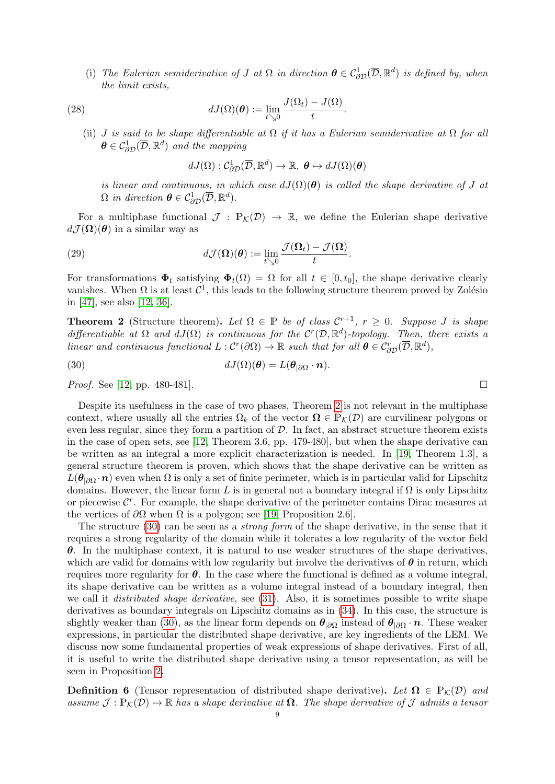(i) The Eulerian semiderivative of J at  $\Omega$  in direction  $\boldsymbol{\theta} \in \mathcal{C}_{\partial \mathcal{D}}^1(\overline{\mathcal{D}}, \mathbb{R}^d)$  is defined by, when the limit exists,

.

(28) 
$$
dJ(\Omega)(\boldsymbol{\theta}) := \lim_{t \searrow 0} \frac{J(\Omega_t) - J(\Omega)}{t}
$$

(ii) J is said to be shape differentiable at  $\Omega$  if it has a Eulerian semiderivative at  $\Omega$  for all  $\boldsymbol{\theta} \in \mathcal{C}^1_{\partial \mathcal{D}}(\overline{\mathcal{D}}, \mathbb{R}^d)$  and the mapping

$$
dJ(\Omega): \mathcal{C}_{\partial \mathcal{D}}^1(\overline{\mathcal{D}}, \mathbb{R}^d) \to \mathbb{R}, \ \theta \mapsto dJ(\Omega)(\theta)
$$

is linear and continuous, in which case  $dJ(\Omega)(\theta)$  is called the shape derivative of J at  $\Omega$  in direction  $\boldsymbol{\theta} \in \mathcal{C}_{\partial \mathcal{D}}^1(\overline{\mathcal{D}}, \mathbb{R}^d)$ .

For a multiphase functional  $\mathcal{J} : \mathbb{P}_{\mathcal{K}}(\mathcal{D}) \to \mathbb{R}$ , we define the Eulerian shape derivative  $d\mathcal{J}(\mathbf{\Omega})(\boldsymbol{\theta})$  in a similar way as

(29) 
$$
d\mathcal{J}(\mathbf{\Omega})(\boldsymbol{\theta}) := \lim_{t \searrow 0} \frac{\mathcal{J}(\mathbf{\Omega}_t) - \mathcal{J}(\mathbf{\Omega})}{t}.
$$

For transformations  $\Phi_t$  satisfying  $\Phi_t(\Omega) = \Omega$  for all  $t \in [0, t_0]$ , the shape derivative clearly vanishes. When  $\Omega$  is at least  $\mathcal{C}^1$ , this leads to the following structure theorem proved by Zolésio in [\[47\]](#page-22-1), see also [\[12,](#page-20-4) [36\]](#page-21-18).

<span id="page-8-0"></span>**Theorem 2** (Structure theorem). Let  $\Omega \in \mathbb{P}$  be of class  $\mathcal{C}^{r+1}$ ,  $r \geq 0$ . Suppose J is shape differentiable at  $\Omega$  and  $dJ(\Omega)$  is continuous for the  $C^r(\mathcal{D}, \mathbb{R}^d)$ -topology. Then, there exists a linear and continuous functional  $L: C^r(\partial\Omega) \to \mathbb{R}$  such that for all  $\boldsymbol{\theta} \in C^r_{\partial D}(\overline{D}, \mathbb{R}^d)$ ,

<span id="page-8-1"></span>(30) 
$$
dJ(\Omega)(\boldsymbol{\theta})=L(\boldsymbol{\theta}_{|\partial\Omega}\cdot\boldsymbol{n}).
$$

*Proof.* See [\[12,](#page-20-4) pp. 480-481].

Despite its usefulness in the case of two phases, Theorem [2](#page-8-0) is not relevant in the multiphase context, where usually all the entries  $\Omega_k$  of the vector  $\Omega \in \mathbb{P}_{\mathcal{K}}(\mathcal{D})$  are curvilinear polygons or even less regular, since they form a partition of  $D$ . In fact, an abstract structure theorem exists in the case of open sets, see [\[12,](#page-20-4) Theorem 3.6, pp. 479-480], but when the shape derivative can be written as an integral a more explicit characterization is needed. In [\[19,](#page-21-24) Theorem 1.3], a general structure theorem is proven, which shows that the shape derivative can be written as  $L(\theta_{|\partial\Omega} \cdot n)$  even when  $\Omega$  is only a set of finite perimeter, which is in particular valid for Lipschitz domains. However, the linear form L is in general not a boundary integral if  $\Omega$  is only Lipschitz or piecewise  $\mathcal{C}^r$ . For example, the shape derivative of the perimeter contains Dirac measures at the vertices of  $\partial\Omega$  when  $\Omega$  is a polygon; see [\[19,](#page-21-24) Proposition 2.6].

The structure [\(30\)](#page-8-1) can be seen as a *strong form* of the shape derivative, in the sense that it requires a strong regularity of the domain while it tolerates a low regularity of the vector field  $\theta$ . In the multiphase context, it is natural to use weaker structures of the shape derivatives, which are valid for domains with low regularity but involve the derivatives of  $\theta$  in return, which requires more regularity for  $\theta$ . In the case where the functional is defined as a volume integral, its shape derivative can be written as a volume integral instead of a boundary integral, then we call it *distributed shape derivative*, see [\(31\)](#page-9-1). Also, it is sometimes possible to write shape derivatives as boundary integrals on Lipschitz domains as in [\(34\)](#page-9-2). In this case, the structure is slightly weaker than [\(30\)](#page-8-1), as the linear form depends on  $\theta_{|\partial\Omega}$  instead of  $\theta_{|\partial\Omega} \cdot n$ . These weaker expressions, in particular the distributed shape derivative, are key ingredients of the LEM. We discuss now some fundamental properties of weak expressions of shape derivatives. First of all, it is useful to write the distributed shape derivative using a tensor representation, as will be seen in Proposition [2.](#page-9-3)

**Definition 6** (Tensor representation of distributed shape derivative). Let  $\Omega \in \mathbb{P}_{\mathcal{K}}(\mathcal{D})$  and assume  $\mathcal{J}: \mathbb{P}_{\mathcal{K}}(\mathcal{D}) \mapsto \mathbb{R}$  has a shape derivative at  $\Omega$ . The shape derivative of  $\mathcal{J}$  admits a tensor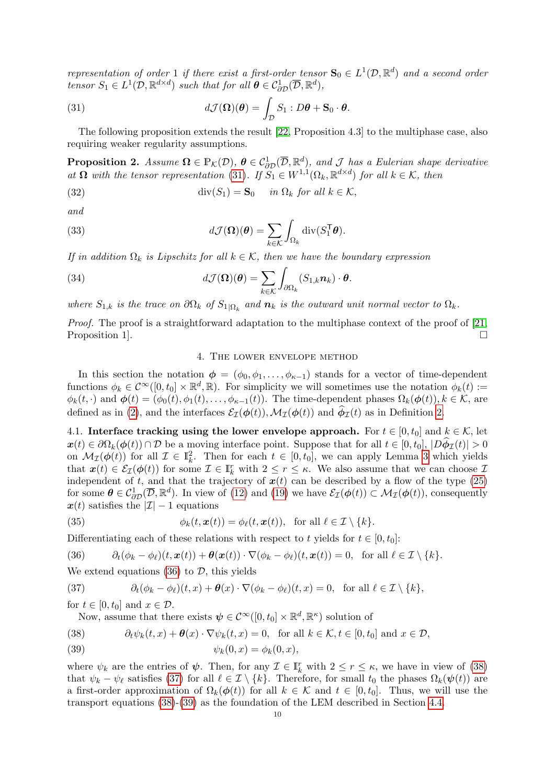representation of order 1 if there exist a first-order tensor  $S_0 \in L^1(\mathcal{D}, \mathbb{R}^d)$  and a second order tensor  $S_1 \in L^1(\mathcal{D}, \mathbb{R}^{d \times d})$  such that for all  $\boldsymbol{\theta} \in C^1_{\partial \mathcal{D}}(\overline{\mathcal{D}}, \mathbb{R}^d)$ ,

<span id="page-9-1"></span>(31) 
$$
d\mathcal{J}(\mathbf{\Omega})(\boldsymbol{\theta}) = \int_{\mathcal{D}} S_1 : D\boldsymbol{\theta} + \mathbf{S}_0 \cdot \boldsymbol{\theta}.
$$

The following proposition extends the result [\[22,](#page-21-17) Proposition 4.3] to the multiphase case, also requiring weaker regularity assumptions.

<span id="page-9-3"></span>**Proposition 2.** Assume  $\Omega \in \mathbb{P}_{\mathcal{K}}(\mathcal{D}), \ \theta \in \mathcal{C}_{\partial \mathcal{D}}^1(\overline{\mathcal{D}}, \mathbb{R}^d)$ , and  $\mathcal{J}$  has a Eulerian shape derivative at  $\Omega$  with the tensor representation [\(31\)](#page-9-1). If  $S_1 \in W^{1,1}(\Omega_k, \mathbb{R}^{d \times d})$  for all  $k \in \mathcal{K}$ , then

(32) 
$$
\operatorname{div}(S_1) = \mathbf{S}_0 \quad \text{in } \Omega_k \text{ for all } k \in \mathcal{K},
$$

and

(33) 
$$
d\mathcal{J}(\mathbf{\Omega})(\boldsymbol{\theta}) = \sum_{k \in \mathcal{K}} \int_{\Omega_k} \mathrm{div}(S_1^{\mathsf{T}} \boldsymbol{\theta}).
$$

If in addition  $\Omega_k$  is Lipschitz for all  $k \in \mathcal{K}$ , then we have the boundary expression

(34) 
$$
d\mathcal{J}(\mathbf{\Omega})(\boldsymbol{\theta}) = \sum_{k \in \mathcal{K}} \int_{\partial \Omega_k} (S_{1,k} \boldsymbol{n}_k) \cdot \boldsymbol{\theta}.
$$

where  $S_{1,k}$  is the trace on  $\partial\Omega_k$  of  $S_{1|\Omega_k}$  and  $n_k$  is the outward unit normal vector to  $\Omega_k$ .

Proof. The proof is a straightforward adaptation to the multiphase context of the proof of [\[21,](#page-21-19) Proposition 1.

## <span id="page-9-2"></span>4. The lower envelope method

<span id="page-9-0"></span>In this section the notation  $\phi = (\phi_0, \phi_1, \dots, \phi_{\kappa-1})$  stands for a vector of time-dependent functions  $\phi_k \in C^{\infty}([0, t_0] \times \mathbb{R}^d, \mathbb{R})$ . For simplicity we will sometimes use the notation  $\phi_k(t) :=$  $\phi_k(t, \cdot)$  and  $\phi(t) = (\phi_0(t), \phi_1(t), \dots, \phi_{\kappa-1}(t))$ . The time-dependent phases  $\Omega_k(\phi(t)), k \in \mathcal{K}$ , are defined as in [\(2\)](#page-2-3), and the interfaces  $\mathcal{E}_{\mathcal{I}}(\phi(t)), \mathcal{M}_{\mathcal{I}}(\phi(t))$  and  $\phi_{\mathcal{I}}(t)$  as in Definition [2.](#page-3-7)

<span id="page-9-9"></span>4.1. Interface tracking using the lower envelope approach. For  $t \in [0, t_0]$  and  $k \in \mathcal{K}$ , let  $x(t) \in \partial \Omega_k(\phi(t)) \cap \mathcal{D}$  be a moving interface point. Suppose that for all  $t \in [0, t_0], |D\phi_{\mathcal{I}}(t)| > 0$ on  $\mathcal{M}_{\mathcal{I}}(\phi(t))$  for all  $\mathcal{I} \in \mathbb{I}_{k}^{2}$ . Then for each  $t \in [0, t_{0}]$ , we can apply Lemma [3](#page-4-8) which yields that  $\mathbf{x}(t) \in \mathcal{E}_{\mathcal{I}}(\phi(t))$  for some  $\mathcal{I} \in I_k^r$  with  $2 \leq r \leq \kappa$ . We also assume that we can choose  $\mathcal{I}$ independent of t, and that the trajectory of  $x(t)$  can be described by a flow of the type [\(25\)](#page-7-3) for some  $\boldsymbol{\theta} \in \mathcal{C}_{\partial \mathcal{D}}^1(\overline{\mathcal{D}}, \mathbb{R}^d)$ . In view of [\(12\)](#page-4-1) and [\(19\)](#page-5-3) we have  $\mathcal{E}_{\mathcal{I}}(\boldsymbol{\phi}(t)) \subset \mathcal{M}_{\mathcal{I}}(\boldsymbol{\phi}(t))$ , consequently  $x(t)$  satisfies the  $|\mathcal{I}| - 1$  equations

<span id="page-9-8"></span>(35) 
$$
\phi_k(t, \boldsymbol{x}(t)) = \phi_\ell(t, \boldsymbol{x}(t)), \text{ for all } \ell \in \mathcal{I} \setminus \{k\}.
$$

Differentiating each of these relations with respect to t yields for  $t \in [0, t_0]$ :

<span id="page-9-4"></span>(36) 
$$
\partial_t(\phi_k - \phi_\ell)(t, \mathbf{x}(t)) + \boldsymbol{\theta}(\mathbf{x}(t)) \cdot \nabla(\phi_k - \phi_\ell)(t, \mathbf{x}(t)) = 0, \text{ for all } \ell \in \mathcal{I} \setminus \{k\}.
$$

We extend equations  $(36)$  to  $\mathcal{D}$ , this yields

<span id="page-9-6"></span>(37) 
$$
\partial_t (\phi_k - \phi_\ell)(t, x) + \theta(x) \cdot \nabla (\phi_k - \phi_\ell)(t, x) = 0, \text{ for all } \ell \in \mathcal{I} \setminus \{k\},
$$

for  $t \in [0, t_0]$  and  $x \in \mathcal{D}$ .

Now, assume that there exists  $\psi \in C^{\infty}([0,t_0] \times \mathbb{R}^d, \mathbb{R}^k)$  solution of

<span id="page-9-5"></span>(38) 
$$
\partial_t \psi_k(t,x) + \theta(x) \cdot \nabla \psi_k(t,x) = 0, \text{ for all } k \in \mathcal{K}, t \in [0, t_0] \text{ and } x \in \mathcal{D},
$$

<span id="page-9-7"></span>
$$
\psi_k(0, x) = \phi_k(0, x),
$$

where  $\psi_k$  are the entries of  $\psi$ . Then, for any  $\mathcal{I} \in \mathbb{I}_k^r$  with  $2 \leq r \leq \kappa$ , we have in view of [\(38\)](#page-9-5) that  $\psi_k - \psi_\ell$  satisfies [\(37\)](#page-9-6) for all  $\ell \in \mathcal{I} \setminus \{k\}$ . Therefore, for small  $t_0$  the phases  $\Omega_k(\psi(t))$  are a first-order approximation of  $\Omega_k(\phi(t))$  for all  $k \in \mathcal{K}$  and  $t \in [0, t_0]$ . Thus, we will use the transport equations [\(38\)](#page-9-5)-[\(39\)](#page-9-7) as the foundation of the LEM described in Section [4.4.](#page-11-1)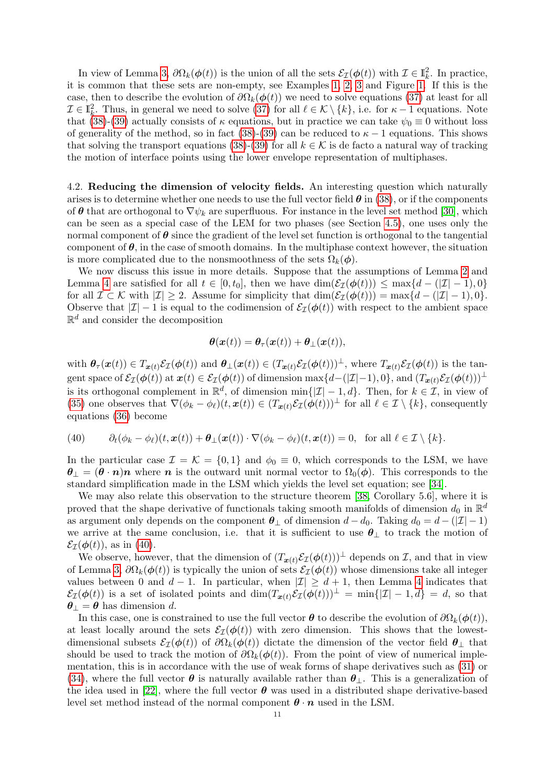In view of Lemma [3,](#page-4-8)  $\partial\Omega_k(\phi(t))$  is the union of all the sets  $\mathcal{E}_{\mathcal{I}}(\phi(t))$  with  $\mathcal{I} \in \mathbb{I}_k^2$ . In practice, it is common that these sets are non-empty, see Examples [1,](#page-5-0) [2,](#page-6-0) [3](#page-6-2) and Figure [1.](#page-5-1) If this is the case, then to describe the evolution of  $\partial\Omega_k(\phi(t))$  we need to solve equations [\(37\)](#page-9-6) at least for all  $\mathcal{I} \in \mathbb{I}_{k}^{2}$ . Thus, in general we need to solve  $(37)$  for all  $\ell \in \mathcal{K} \setminus \{k\}$ , i.e. for  $\kappa - 1$  equations. Note that [\(38\)](#page-9-5)-[\(39\)](#page-9-7) actually consists of  $\kappa$  equations, but in practice we can take  $\psi_0 \equiv 0$  without loss of generality of the method, so in fact [\(38\)](#page-9-5)-[\(39\)](#page-9-7) can be reduced to  $\kappa - 1$  equations. This shows that solving the transport equations [\(38\)](#page-9-5)-[\(39\)](#page-9-7) for all  $k \in \mathcal{K}$  is de facto a natural way of tracking the motion of interface points using the lower envelope representation of multiphases.

4.2. Reducing the dimension of velocity fields. An interesting question which naturally arises is to determine whether one needs to use the full vector field  $\theta$  in [\(38\)](#page-9-5), or if the components of  $\theta$  that are orthogonal to  $\nabla \psi_k$  are superfluous. For instance in the level set method [\[30\]](#page-21-0), which can be seen as a special case of the LEM for two phases (see Section [4.5\)](#page-11-2), one uses only the normal component of  $\theta$  since the gradient of the level set function is orthogonal to the tangential component of  $\theta$ , in the case of smooth domains. In the multiphase context however, the situation is more complicated due to the nonsmoothness of the sets  $\Omega_k(\phi)$ .

We now discuss this issue in more details. Suppose that the assumptions of Lemma [2](#page-4-7) and Lemma [4](#page-5-2) are satisfied for all  $t \in [0, t_0]$ , then we have  $\dim(\mathcal{E}_{\mathcal{I}}(\phi(t))) \leq \max\{d - (1/2 - 1), 0\}$ for all  $\mathcal{I} \subset \mathcal{K}$  with  $|\mathcal{I}| \geq 2$ . Assume for simplicity that  $\dim(\mathcal{E}_{\mathcal{I}}(\phi(t))) = \max\{d - (|\mathcal{I}| - 1), 0\}.$ Observe that  $|\mathcal{I}| - 1$  is equal to the codimension of  $\mathcal{E}_{\mathcal{I}}(\phi(t))$  with respect to the ambient space  $\mathbb{R}^d$  and consider the decomposition

$$
\boldsymbol{\theta}(\boldsymbol{x}(t)) = \boldsymbol{\theta}_{\tau}(\boldsymbol{x}(t)) + \boldsymbol{\theta}_{\perp}(\boldsymbol{x}(t)),
$$

with  $\theta_{\tau}(\boldsymbol{x}(t)) \in T_{\boldsymbol{x}(t)} \mathcal{E}_{\mathcal{I}}(\boldsymbol{\phi}(t))$  and  $\theta_{\perp}(\boldsymbol{x}(t)) \in (T_{\boldsymbol{x}(t)} \mathcal{E}_{\mathcal{I}}(\boldsymbol{\phi}(t)))^{\perp}$ , where  $T_{\boldsymbol{x}(t)} \mathcal{E}_{\mathcal{I}}(\boldsymbol{\phi}(t))$  is the tangent space of  $\mathcal{E}_{\mathcal{I}}(\phi(t))$  at  $\mathbf{x}(t) \in \mathcal{E}_{\mathcal{I}}(\phi(t))$  of dimension  $\max\{d-(|\mathcal{I}|-1),0\}$ , and  $(T_{\mathbf{x}(t)}\mathcal{E}_{\mathcal{I}}(\phi(t)))^{\perp}$ is its orthogonal complement in  $\mathbb{R}^d$ , of dimension min $\{|\mathcal{I}| - 1, d\}$ . Then, for  $k \in \mathcal{I}$ , in view of [\(35\)](#page-9-8) one observes that  $\nabla(\phi_k - \phi_\ell)(t, \mathbf{x}(t)) \in (T_{\mathbf{x}(t)}\mathcal{E}_\mathcal{I}(\phi(t)))^\perp$  for all  $\ell \in \mathcal{I} \setminus \{k\}$ , consequently equations [\(36\)](#page-9-4) become

<span id="page-10-0"></span>(40) 
$$
\partial_t(\phi_k - \phi_\ell)(t, \mathbf{x}(t)) + \theta_\perp(\mathbf{x}(t)) \cdot \nabla(\phi_k - \phi_\ell)(t, \mathbf{x}(t)) = 0, \text{ for all } \ell \in \mathcal{I} \setminus \{k\}.
$$

In the particular case  $\mathcal{I} = \mathcal{K} = \{0, 1\}$  and  $\phi_0 \equiv 0$ , which corresponds to the LSM, we have  $\theta_{\perp} = (\theta \cdot n)n$  where n is the outward unit normal vector to  $\Omega_0(\phi)$ . This corresponds to the standard simplification made in the LSM which yields the level set equation; see [\[34\]](#page-21-1).

We may also relate this observation to the structure theorem [\[38,](#page-21-25) Corollary 5.6], where it is proved that the shape derivative of functionals taking smooth manifolds of dimension  $d_0$  in  $\mathbb{R}^d$ as argument only depends on the component  $\theta_{\perp}$  of dimension  $d - d_0$ . Taking  $d_0 = d - (|\mathcal{I}| - 1)$ we arrive at the same conclusion, i.e. that it is sufficient to use  $\theta_{\perp}$  to track the motion of  $\mathcal{E}_{\mathcal{I}}(\boldsymbol{\phi}(t))$ , as in [\(40\)](#page-10-0).

We observe, however, that the dimension of  $(T_{x(t)}\mathcal{E}_I(\phi(t)))^{\perp}$  depends on  $\mathcal{I}$ , and that in view of Lemma [3,](#page-4-8)  $\partial\Omega_k(\phi(t))$  is typically the union of sets  $\mathcal{E}_I(\phi(t))$  whose dimensions take all integer values between 0 and  $d-1$ . In particular, when  $|\mathcal{I}| \geq d+1$ , then Lemma [4](#page-5-2) indicates that  $\mathcal{E}_{\mathcal{I}}(\boldsymbol{\phi}(t))$  is a set of isolated points and  $\dim(T_{\boldsymbol{x}(t)}\mathcal{E}_{\mathcal{I}}(\boldsymbol{\phi}(t)))^{\perp} = \min\{|\mathcal{I}| - 1, d\} = d$ , so that  $\theta_{\perp} = \theta$  has dimension d.

In this case, one is constrained to use the full vector  $\boldsymbol{\theta}$  to describe the evolution of  $\partial \Omega_k(\boldsymbol{\phi}(t))$ , at least locally around the sets  $\mathcal{E}_{\mathcal{I}}(\phi(t))$  with zero dimension. This shows that the lowestdimensional subsets  $\mathcal{E}_I(\phi(t))$  of  $\partial\Omega_k(\phi(t))$  dictate the dimension of the vector field  $\theta_\perp$  that should be used to track the motion of  $\partial\Omega_k(\phi(t))$ . From the point of view of numerical implementation, this is in accordance with the use of weak forms of shape derivatives such as [\(31\)](#page-9-1) or [\(34\)](#page-9-2), where the full vector  $\theta$  is naturally available rather than  $\theta_{\perp}$ . This is a generalization of the idea used in [\[22\]](#page-21-17), where the full vector  $\theta$  was used in a distributed shape derivative-based level set method instead of the normal component  $\theta \cdot n$  used in the LSM.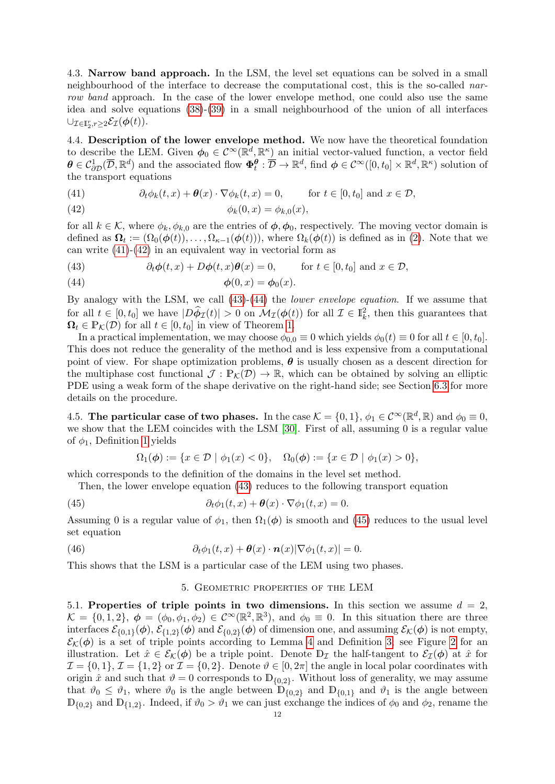4.3. Narrow band approach. In the LSM, the level set equations can be solved in a small neighbourhood of the interface to decrease the computational cost, this is the so-called narrow band approach. In the case of the lower envelope method, one could also use the same idea and solve equations [\(38\)](#page-9-5)-[\(39\)](#page-9-7) in a small neighbourhood of the union of all interfaces  $\cup_{\mathcal{I}\in\mathbb{I}_2^r,r\geq2}\mathcal{E}_{\mathcal{I}}(\boldsymbol{\phi}(t)).$ 

<span id="page-11-1"></span>4.4. Description of the lower envelope method. We now have the theoretical foundation to describe the LEM. Given  $\phi_0 \in C^{\infty}(\mathbb{R}^d, \mathbb{R}^k)$  an initial vector-valued function, a vector field  $\boldsymbol{\theta} \in \mathcal{C}_{\partial \mathcal{D}}^1(\overline{\mathcal{D}}, \mathbb{R}^d)$  and the associated flow  $\boldsymbol{\Phi}_t^{\boldsymbol{\theta}} : \overline{\mathcal{D}} \to \mathbb{R}^d$ , find  $\boldsymbol{\phi} \in \mathcal{C}^{\infty}([0, t_0] \times \mathbb{R}^d, \mathbb{R}^{\kappa})$  solution of the transport equations

<span id="page-11-4"></span><span id="page-11-3"></span>(41) 
$$
\partial_t \phi_k(t,x) + \theta(x) \cdot \nabla \phi_k(t,x) = 0, \quad \text{for } t \in [0, t_0] \text{ and } x \in \mathcal{D},
$$

$$
\phi_k(0, x) = \phi_{k,0}(x),
$$

for all  $k \in \mathcal{K}$ , where  $\phi_k, \phi_{k,0}$  are the entries of  $\phi, \phi_0$ , respectively. The moving vector domain is defined as  $\mathbf{\Omega}_t := (\Omega_0(\boldsymbol{\phi}(t)), \dots, \Omega_{\kappa-1}(\boldsymbol{\phi}(t))),$  where  $\Omega_k(\boldsymbol{\phi}(t))$  is defined as in [\(2\)](#page-2-3). Note that we can write [\(41\)](#page-11-3)-[\(42\)](#page-11-4) in an equivalent way in vectorial form as

<span id="page-11-5"></span>(43) 
$$
\partial_t \phi(t, x) + D\phi(t, x)\theta(x) = 0, \quad \text{for } t \in [0, t_0] \text{ and } x \in \mathcal{D},
$$

<span id="page-11-6"></span>(44) 
$$
\phi(0,x) = \phi_0(x).
$$

By analogy with the LSM, we call [\(43\)](#page-11-5)-[\(44\)](#page-11-6) the lower envelope equation. If we assume that for all  $t \in [0, t_0]$  we have  $|D \hat{\phi}_{\mathcal{I}}(t)| > 0$  on  $\mathcal{M}_{\mathcal{I}}(\phi(t))$  for all  $\mathcal{I} \in \mathbb{I}_k^2$ , then this guarantees that  $\Omega_t \in \mathbb{P}_{\mathcal{K}}(\mathcal{D})$  for all  $t \in [0, t_0]$  in view of Theorem [1.](#page-7-1)

In a practical implementation, we may choose  $\phi_{0,0} \equiv 0$  which yields  $\phi_0(t) \equiv 0$  for all  $t \in [0, t_0]$ . This does not reduce the generality of the method and is less expensive from a computational point of view. For shape optimization problems,  $\theta$  is usually chosen as a descent direction for the multiphase cost functional  $\mathcal{J}: \mathbb{P}_{\mathcal{K}}(\mathcal{D}) \to \mathbb{R}$ , which can be obtained by solving an elliptic PDE using a weak form of the shape derivative on the right-hand side; see Section [6.3](#page-17-0) for more details on the procedure.

<span id="page-11-2"></span>4.5. The particular case of two phases. In the case  $\mathcal{K} = \{0, 1\}$ ,  $\phi_1 \in C^\infty(\mathbb{R}^d, \mathbb{R})$  and  $\phi_0 \equiv 0$ , we show that the LEM coincides with the LSM [\[30\]](#page-21-0). First of all, assuming 0 is a regular value of  $\phi_1$ , Definition [1](#page-2-4) yields

<span id="page-11-7"></span>
$$
\Omega_1(\phi) := \{ x \in \mathcal{D} \mid \phi_1(x) < 0 \}, \quad \Omega_0(\phi) := \{ x \in \mathcal{D} \mid \phi_1(x) > 0 \},
$$

which corresponds to the definition of the domains in the level set method.

Then, the lower envelope equation [\(43\)](#page-11-5) reduces to the following transport equation

(45) 
$$
\partial_t \phi_1(t,x) + \theta(x) \cdot \nabla \phi_1(t,x) = 0.
$$

Assuming 0 is a regular value of  $\phi_1$ , then  $\Omega_1(\phi)$  is smooth and [\(45\)](#page-11-7) reduces to the usual level set equation

(46) 
$$
\partial_t \phi_1(t,x) + \theta(x) \cdot \mathbf{n}(x) |\nabla \phi_1(t,x)| = 0.
$$

<span id="page-11-0"></span>This shows that the LSM is a particular case of the LEM using two phases.

#### 5. Geometric properties of the LEM

5.1. Properties of triple points in two dimensions. In this section we assume  $d = 2$ ,  $\mathcal{K} = \{0, 1, 2\}, \ \boldsymbol{\phi} = (\phi_0, \phi_1, \phi_2) \in C^{\infty}(\mathbb{R}^2, \mathbb{R}^3), \text{ and } \phi_0 \equiv 0.$  In this situation there are three interfaces  $\mathcal{E}_{\{0,1\}}(\phi)$ ,  $\mathcal{E}_{\{1,2\}}(\phi)$  and  $\mathcal{E}_{\{0,2\}}(\phi)$  of dimension one, and assuming  $\mathcal{E}_{\mathcal{K}}(\phi)$  is not empty,  $\mathcal{E}_{\mathcal{K}}(\phi)$  is a set of triple points according to Lemma [4](#page-5-2) and Definition [3;](#page-6-3) see Figure [2](#page-12-0) for an illustration. Let  $\hat{x} \in \mathcal{E}_{\mathcal{K}}(\phi)$  be a triple point. Denote  $\mathbb{D}_{\mathcal{I}}$  the half-tangent to  $\mathcal{E}_{\mathcal{I}}(\phi)$  at  $\hat{x}$  for  $\mathcal{I} = \{0, 1\}, \mathcal{I} = \{1, 2\}$  or  $\mathcal{I} = \{0, 2\}.$  Denote  $\vartheta \in [0, 2\pi]$  the angle in local polar coordinates with origin  $\hat{x}$  and such that  $\hat{v} = 0$  corresponds to  $\mathbb{D}_{\{0,2\}}$ . Without loss of generality, we may assume that  $\vartheta_0 \leq \vartheta_1$ , where  $\vartheta_0$  is the angle between  $\mathbb{D}_{\{0,2\}}$  and  $\mathbb{D}_{\{0,1\}}$  and  $\vartheta_1$  is the angle between  $\mathbb{D}_{\{0,2\}}$  and  $\mathbb{D}_{\{1,2\}}$ . Indeed, if  $\vartheta_0 > \vartheta_1$  we can just exchange the indices of  $\phi_0$  and  $\phi_2$ , rename the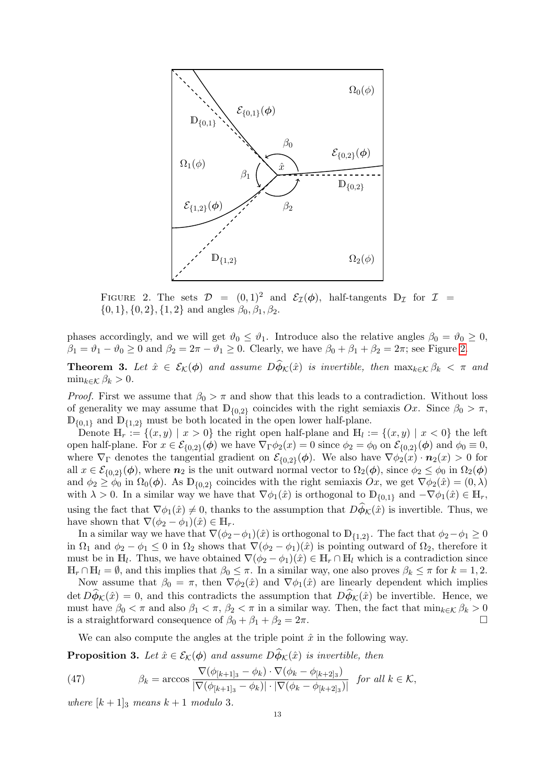<span id="page-12-0"></span>

FIGURE 2. The sets  $\mathcal{D} = (0, 1)^2$  and  $\mathcal{E}_{\mathcal{I}}(\phi)$ , half-tangents  $\mathbb{D}_{\mathcal{I}}$  for  $\mathcal{I} =$  $\{0, 1\}, \{0, 2\}, \{1, 2\}$  and angles  $\beta_0, \beta_1, \beta_2$ .

phases accordingly, and we will get  $\vartheta_0 \leq \vartheta_1$ . Introduce also the relative angles  $\beta_0 = \vartheta_0 \geq 0$ ,  $\beta_1 = \vartheta_1 - \vartheta_0 \geq 0$  and  $\beta_2 = 2\pi - \vartheta_1 \geq 0$ . Clearly, we have  $\beta_0 + \beta_1 + \beta_2 = 2\pi$ ; see Figure [2.](#page-12-0)

<span id="page-12-1"></span>**Theorem 3.** Let  $\hat{x} \in \mathcal{E}_{\mathcal{K}}(\phi)$  and assume  $D \widehat{\phi}_{\mathcal{K}}(\hat{x})$  is invertible, then  $\max_{k \in \mathcal{K}} \beta_k < \pi$  and  $\min_{k \in \mathcal{K}} \beta_k > 0.$ 

*Proof.* First we assume that  $\beta_0 > \pi$  and show that this leads to a contradiction. Without loss of generality we may assume that  $\mathbb{D}_{\{0,2\}}$  coincides with the right semiaxis  $Ox$ . Since  $\beta_0 > \pi$ ,  $\mathbb{D}_{\{0,1\}}$  and  $\mathbb{D}_{\{1,2\}}$  must be both located in the open lower half-plane.

Denote  $\mathbb{H}_r := \{(x, y) \mid x > 0\}$  the right open half-plane and  $\mathbb{H}_l := \{(x, y) \mid x < 0\}$  the left open half-plane. For  $x \in \mathcal{E}_{\{0,2\}}(\phi)$  we have  $\nabla_{\Gamma}\phi_2(x) = 0$  since  $\phi_2 = \phi_0$  on  $\mathcal{E}_{\{0,2\}}(\phi)$  and  $\phi_0 \equiv 0$ , where  $\nabla_{\Gamma}$  denotes the tangential gradient on  $\mathcal{E}_{\{0,2\}}(\phi)$ . We also have  $\nabla \phi_2(x) \cdot \mathbf{n}_2(x) > 0$  for all  $x \in \mathcal{E}_{\{0,2\}}(\phi)$ , where  $n_2$  is the unit outward normal vector to  $\Omega_2(\phi)$ , since  $\phi_2 \leq \phi_0$  in  $\Omega_2(\phi)$ and  $\phi_2 \ge \phi_0$  in  $\Omega_0(\phi)$ . As  $\mathbb{D}_{\{0,2\}}$  coincides with the right semiaxis  $Ox$ , we get  $\nabla \phi_2(\hat{x}) = (0,\lambda)$ with  $\lambda > 0$ . In a similar way we have that  $\nabla \phi_1(\hat{x})$  is orthogonal to  $D_{\{0,1\}}$  and  $-\nabla \phi_1(\hat{x}) \in \mathbb{H}_r$ , using the fact that  $\nabla \phi_1(\hat{x}) \neq 0$ , thanks to the assumption that  $D\hat{\phi}_\mathcal{K}(\hat{x})$  is invertible. Thus, we have shown that  $\nabla(\phi_2 - \phi_1)(\hat{x}) \in \mathbb{H}_r$ .

In a similar way we have that  $\nabla(\phi_2-\phi_1)(\hat{x})$  is orthogonal to  $\mathbb{D}_{\{1,2\}}$ . The fact that  $\phi_2-\phi_1\geq 0$ in  $\Omega_1$  and  $\phi_2 - \phi_1 \leq 0$  in  $\Omega_2$  shows that  $\nabla (\phi_2 - \phi_1)(\hat{x})$  is pointing outward of  $\Omega_2$ , therefore it must be in  $\mathbb{H}_l$ . Thus, we have obtained  $\nabla(\phi_2 - \phi_1)(\hat{x}) \in \mathbb{H}_r \cap \mathbb{H}_l$  which is a contradiction since  $\mathbb{H}_r \cap \mathbb{H}_l = \emptyset$ , and this implies that  $\beta_0 \leq \pi$ . In a similar way, one also proves  $\beta_k \leq \pi$  for  $k = 1, 2$ .

Now assume that  $\beta_0 = \pi$ , then  $\nabla \phi_2(\hat{x})$  and  $\nabla \phi_1(\hat{x})$  are linearly dependent which implies det  $D\hat{\phi}_K(\hat{x}) = 0$ , and this contradicts the assumption that  $D\hat{\phi}_K(\hat{x})$  be invertible. Hence, we must have  $\beta_0 < \pi$  and also  $\beta_1 < \pi$ ,  $\beta_2 < \pi$  in a similar way. Then, the fact that  $\min_{k \in \mathcal{K}} \beta_k > 0$ is a straightforward consequence of  $\beta_0 + \beta_1 + \beta_2 = 2\pi$ .

We can also compute the angles at the triple point  $\hat{x}$  in the following way.

**Proposition 3.** Let  $\hat{x} \in \mathcal{E}_{\mathcal{K}}(\phi)$  and assume  $D\hat{\phi}_{\mathcal{K}}(\hat{x})$  is invertible, then

<span id="page-12-2"></span>(47) 
$$
\beta_k = \arccos \frac{\nabla(\phi_{[k+1]_3} - \phi_k) \cdot \nabla(\phi_k - \phi_{[k+2]_3})}{|\nabla(\phi_{[k+1]_3} - \phi_k)| \cdot |\nabla(\phi_k - \phi_{[k+2]_3})|} \text{ for all } k \in \mathcal{K},
$$

where  $[k+1]_3$  means  $k+1$  modulo 3.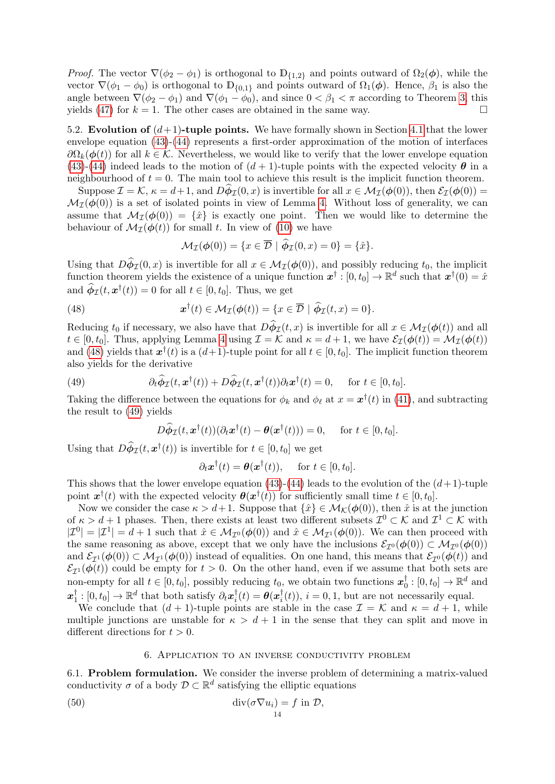*Proof.* The vector  $\nabla(\phi_2 - \phi_1)$  is orthogonal to  $\mathbb{D}_{\{1,2\}}$  and points outward of  $\Omega_2(\phi)$ , while the vector  $\nabla(\phi_1 - \phi_0)$  is orthogonal to  $\mathbb{D}_{\{0,1\}}$  and points outward of  $\Omega_1(\phi)$ . Hence,  $\beta_1$  is also the angle between  $\nabla(\phi_2 - \phi_1)$  and  $\nabla(\phi_1 - \phi_0)$ , and since  $0 < \beta_1 < \pi$  according to Theorem [3,](#page-12-1) this yields [\(47\)](#page-12-2) for  $k = 1$ . The other cases are obtained in the same way.

5.2. Evolution of  $(d+1)$ -tuple points. We have formally shown in Section [4.1](#page-9-9) that the lower envelope equation [\(43\)](#page-11-5)-[\(44\)](#page-11-6) represents a first-order approximation of the motion of interfaces  $\partial\Omega_k(\phi(t))$  for all  $k \in \mathcal{K}$ . Nevertheless, we would like to verify that the lower envelope equation [\(43\)](#page-11-5)-[\(44\)](#page-11-6) indeed leads to the motion of  $(d+1)$ -tuple points with the expected velocity  $\theta$  in a neighbourhood of  $t = 0$ . The main tool to achieve this result is the implicit function theorem.

Suppose  $\mathcal{I} = \mathcal{K}, \kappa = d+1$ , and  $D\phi_{\mathcal{I}}(0, x)$  is invertible for all  $x \in \mathcal{M}_{\mathcal{I}}(\phi(0))$ , then  $\mathcal{E}_{\mathcal{I}}(\phi(0)) =$  $\mathcal{M}_{\mathcal{I}}(\phi(0))$  is a set of isolated points in view of Lemma [4.](#page-5-2) Without loss of generality, we can assume that  $\mathcal{M}_{\mathcal{I}}(\phi(0)) = {\hat{x}}$  is exactly one point. Then we would like to determine the behaviour of  $\mathcal{M}_{\mathcal{I}}(\phi(t))$  for small t. In view of [\(10\)](#page-3-5) we have

<span id="page-13-1"></span>
$$
\mathcal{M}_{\mathcal{I}}(\phi(0)) = \{x \in \overline{\mathcal{D}} \mid \widetilde{\phi}_{\mathcal{I}}(0,x) = 0\} = \{\hat{x}\}.
$$

Using that  $D\phi_{\mathcal{I}}(0, x)$  is invertible for all  $x \in \mathcal{M}_{\mathcal{I}}(\phi(0))$ , and possibly reducing  $t_0$ , the implicit function theorem yields the existence of a unique function  $x^{\dagger}:[0,t_0] \to \mathbb{R}^d$  such that  $x^{\dagger}(0) = \hat{x}$ and  $\hat{\phi}_{\mathcal{I}}(t, \mathbf{x}^{\dagger}(t)) = 0$  for all  $t \in [0, t_0]$ . Thus, we get

(48) 
$$
\boldsymbol{x}^{\dagger}(t) \in \mathcal{M}_{\mathcal{I}}(\boldsymbol{\phi}(t)) = \{x \in \overline{\mathcal{D}} \mid \widehat{\boldsymbol{\phi}}_{\mathcal{I}}(t,x) = 0\}.
$$

Reducing  $t_0$  if necessary, we also have that  $D\phi_{\mathcal{I}}(t, x)$  is invertible for all  $x \in \mathcal{M}_{\mathcal{I}}(\phi(t))$  and all  $t \in [0, t_0]$ . Thus, applying Lemma [4](#page-5-2) using  $\mathcal{I} = \mathcal{K}$  and  $\kappa = d + 1$ , we have  $\mathcal{E}_{\mathcal{I}}(\boldsymbol{\phi}(t)) = \mathcal{M}_{\mathcal{I}}(\boldsymbol{\phi}(t))$ and [\(48\)](#page-13-1) yields that  $x^{\dagger}(t)$  is a  $(d+1)$ -tuple point for all  $t \in [0, t_0]$ . The implicit function theorem also yields for the derivative

(49) 
$$
\partial_t \widehat{\phi}_{\mathcal{I}}(t, \mathbf{x}^{\dagger}(t)) + D \widehat{\phi}_{\mathcal{I}}(t, \mathbf{x}^{\dagger}(t)) \partial_t \mathbf{x}^{\dagger}(t) = 0, \quad \text{for } t \in [0, t_0].
$$

Taking the difference between the equations for  $\phi_k$  and  $\phi_\ell$  at  $x = \boldsymbol{x}^\dagger(t)$  in [\(41\)](#page-11-3), and subtracting the result to [\(49\)](#page-13-2) yields

<span id="page-13-2"></span>
$$
D\widehat{\phi}_{\mathcal{I}}(t, \boldsymbol{x}^{\dagger}(t))(\partial_t \boldsymbol{x}^{\dagger}(t) - \boldsymbol{\theta}(\boldsymbol{x}^{\dagger}(t))) = 0, \quad \text{ for } t \in [0, t_0].
$$

Using that  $D\widehat{\phi}_{\mathcal{I}}(t, \mathbf{x}^{\dagger}(t))$  is invertible for  $t \in [0, t_0]$  we get

$$
\partial_t \mathbf{x}^\dagger(t) = \boldsymbol{\theta}(\mathbf{x}^\dagger(t)), \quad \text{ for } t \in [0, t_0].
$$

This shows that the lower envelope equation [\(43\)](#page-11-5)-[\(44\)](#page-11-6) leads to the evolution of the  $(d+1)$ -tuple point  $\mathbf{x}^{\dagger}(t)$  with the expected velocity  $\boldsymbol{\theta}(\mathbf{x}^{\dagger}(t))$  for sufficiently small time  $t \in [0, t_0]$ .

Now we consider the case  $\kappa > d+1$ . Suppose that  $\{\hat{x}\}\in \mathcal{M}_{\mathcal{K}}(\phi(0))$ , then  $\hat{x}$  is at the junction of  $\kappa > d+1$  phases. Then, there exists at least two different subsets  $\mathcal{I}^0 \subset \mathcal{K}$  and  $\mathcal{I}^1 \subset \mathcal{K}$  with  $|\mathcal{I}^0| = |\mathcal{I}^1| = d + 1$  such that  $\hat{x} \in \mathcal{M}_{\mathcal{I}^0}(\phi(0))$  and  $\hat{x} \in \mathcal{M}_{\mathcal{I}^1}(\phi(0))$ . We can then proceed with the same reasoning as above, except that we only have the inclusions  $\mathcal{E}_{\mathcal{I}^0}(\phi(0)) \subset \mathcal{M}_{\mathcal{I}^0}(\phi(0))$ and  $\mathcal{E}_{\mathcal{I}^1}(\phi(0)) \subset \mathcal{M}_{\mathcal{I}^1}(\phi(0))$  instead of equalities. On one hand, this means that  $\mathcal{E}_{\mathcal{I}^0}(\phi(t))$  and  $\mathcal{E}_{\mathcal{I}^1}(\phi(t))$  could be empty for  $t > 0$ . On the other hand, even if we assume that both sets are non-empty for all  $t \in [0, t_0]$ , possibly reducing  $t_0$ , we obtain two functions  $\boldsymbol{x}_0^{\dagger}$  $_0^{\dagger}:[0,t_0]\to\mathbb{R}^d$  and  $\boldsymbol{x}_1^\dagger$  $\mathbf{I}_1^{\dagger}:[0,t_0]\to\mathbb{R}^d$  that both satisfy  $\partial_t\mathbf{x}_i^{\dagger}$  $\begin{equation} \begin{aligned} \frac{\dag}{i}(t) = \boldsymbol{\theta}(\boldsymbol{x}^{\dagger}_{i}) \end{aligned} \end{equation}$  $i(t)$ ,  $i = 0, 1$ , but are not necessarily equal.

We conclude that  $(d+1)$ -tuple points are stable in the case  $\mathcal{I} = \mathcal{K}$  and  $\kappa = d+1$ , while multiple junctions are unstable for  $\kappa > d+1$  in the sense that they can split and move in different directions for  $t > 0$ .

#### <span id="page-13-3"></span>6. Application to an inverse conductivity problem

<span id="page-13-0"></span>6.1. Problem formulation. We consider the inverse problem of determining a matrix-valued conductivity  $\sigma$  of a body  $\mathcal{D} \subset \mathbb{R}^d$  satisfying the elliptic equations

(50) 
$$
\operatorname{div}(\sigma \nabla u_i) = f \text{ in } \mathcal{D},
$$

$$
\frac{14}{14}
$$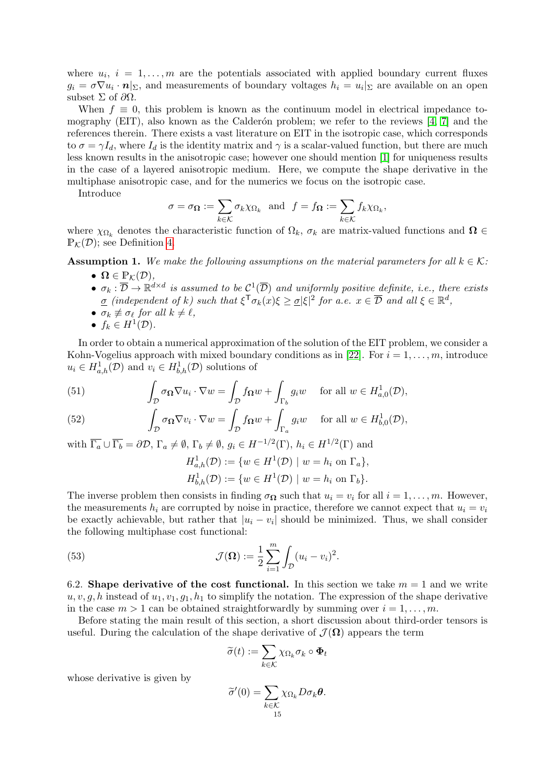where  $u_i$ ,  $i = 1, \ldots, m$  are the potentials associated with applied boundary current fluxes  $g_i = \sigma \nabla u_i \cdot \mathbf{n}|_{\Sigma}$ , and measurements of boundary voltages  $h_i = u_i|_{\Sigma}$  are available on an open subset  $\Sigma$  of  $\partial\Omega$ .

When  $f \equiv 0$ , this problem is known as the continuum model in electrical impedance tomography (EIT), also known as the Calderón problem; we refer to the reviews  $[4, 7]$  $[4, 7]$  and the references therein. There exists a vast literature on EIT in the isotropic case, which corresponds to  $\sigma = \gamma I_d$ , where  $I_d$  is the identity matrix and  $\gamma$  is a scalar-valued function, but there are much less known results in the anisotropic case; however one should mention [\[1\]](#page-19-8) for uniqueness results in the case of a layered anisotropic medium. Here, we compute the shape derivative in the multiphase anisotropic case, and for the numerics we focus on the isotropic case.

Introduce

$$
\sigma = \sigma_{\mathbf{\Omega}} := \sum_{k \in \mathcal{K}} \sigma_k \chi_{\Omega_k}
$$
 and  $f = f_{\mathbf{\Omega}} := \sum_{k \in \mathcal{K}} f_k \chi_{\Omega_k}$ ,

where  $\chi_{\Omega_k}$  denotes the characteristic function of  $\Omega_k$ ,  $\sigma_k$  are matrix-valued functions and  $\Omega \in$  $\mathbb{P}_K(\mathcal{D})$ ; see Definition [4.](#page-7-2)

<span id="page-14-0"></span>**Assumption 1.** We make the following assumptions on the material parameters for all  $k \in \mathcal{K}$ :

- $\Omega \in \mathbb{P}_{\mathcal{K}}(\mathcal{D}),$
- $\sigma_k : \overline{\mathcal{D}} \to \mathbb{R}^{d \times d}$  is assumed to be  $\mathcal{C}^1(\overline{\mathcal{D}})$  and uniformly positive definite, i.e., there exists  $\underline{\sigma}$  (independent of k) such that  $\xi^{\mathsf{T}}\sigma_k(x)\xi \geq \underline{\sigma}|\xi|^2$  for a.e.  $x \in \overline{\mathcal{D}}$  and all  $\xi \in \mathbb{R}^d$ ,
- $\sigma_k \not\equiv \sigma_\ell$  for all  $k \neq \ell$ ,
- $f_k \in H^1(\mathcal{D})$ .

In order to obtain a numerical approximation of the solution of the EIT problem, we consider a Kohn-Vogelius approach with mixed boundary conditions as in [\[22\]](#page-21-17). For  $i = 1, \ldots, m$ , introduce  $u_i \in H^1_{a,h}(\mathcal{D})$  and  $v_i \in H^1_{b,h}(\mathcal{D})$  solutions of

<span id="page-14-1"></span>(51) 
$$
\int_{\mathcal{D}} \sigma_{\Omega} \nabla u_i \cdot \nabla w = \int_{\mathcal{D}} f_{\Omega} w + \int_{\Gamma_b} g_i w \quad \text{for all } w \in H_{a,0}^1(\mathcal{D}),
$$

<span id="page-14-2"></span>(52) 
$$
\int_{\mathcal{D}} \sigma_{\mathbf{\Omega}} \nabla v_i \cdot \nabla w = \int_{\mathcal{D}} f_{\mathbf{\Omega}} w + \int_{\Gamma_a} g_i w \quad \text{for all } w \in H^1_{b,0}(\mathcal{D}),
$$

with  $\overline{\Gamma_a} \cup \overline{\Gamma_b} = \partial \mathcal{D}, \Gamma_a \neq \emptyset, \Gamma_b \neq \emptyset, g_i \in H^{-1/2}(\Gamma), h_i \in H^{1/2}(\Gamma)$  and

$$
H_{a,h}^1(\mathcal{D}) := \{ w \in H^1(\mathcal{D}) \mid w = h_i \text{ on } \Gamma_a \},
$$
  

$$
H_{b,h}^1(\mathcal{D}) := \{ w \in H^1(\mathcal{D}) \mid w = h_i \text{ on } \Gamma_b \}.
$$

The inverse problem then consists in finding  $\sigma_{\Omega}$  such that  $u_i = v_i$  for all  $i = 1, \ldots, m$ . However, the measurements  $h_i$  are corrupted by noise in practice, therefore we cannot expect that  $u_i = v_i$ be exactly achievable, but rather that  $|u_i - v_i|$  should be minimized. Thus, we shall consider the following multiphase cost functional:

<span id="page-14-3"></span>(53) 
$$
\mathcal{J}(\Omega) := \frac{1}{2} \sum_{i=1}^{m} \int_{\mathcal{D}} (u_i - v_i)^2.
$$

6.2. Shape derivative of the cost functional. In this section we take  $m = 1$  and we write  $u, v, q, h$  instead of  $u_1, v_1, q_1, h_1$  to simplify the notation. The expression of the shape derivative in the case  $m > 1$  can be obtained straightforwardly by summing over  $i = 1, \ldots, m$ .

Before stating the main result of this section, a short discussion about third-order tensors is useful. During the calculation of the shape derivative of  $\mathcal{J}(\Omega)$  appears the term

$$
\widetilde{\sigma}(t):=\sum_{k\in\mathcal{K}}\chi_{\Omega_k}\sigma_k\circ\mathbf{\Phi}_t
$$

whose derivative is given by

$$
\widetilde{\sigma}'(0) = \sum_{k \in \mathcal{K}} \chi_{\Omega_k} D \sigma_k \theta.
$$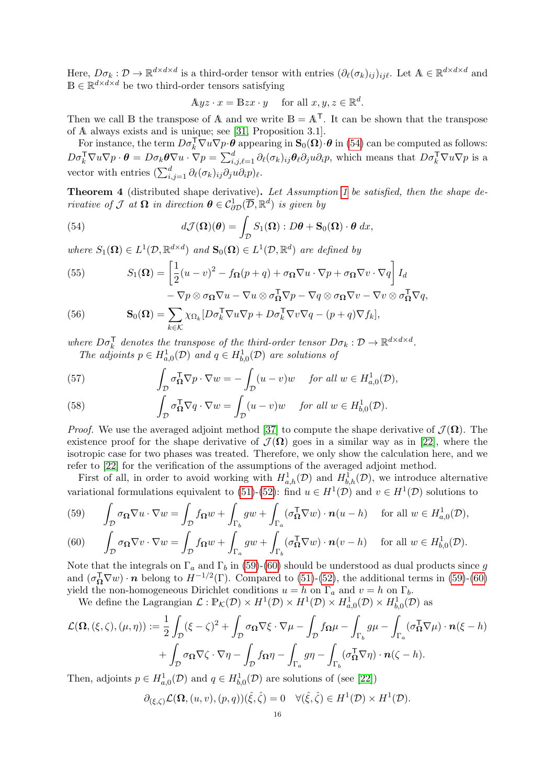Here,  $D\sigma_k: \mathcal{D} \to \mathbb{R}^{d \times d \times d}$  is a third-order tensor with entries  $(\partial_\ell(\sigma_k)_{ij})_{ij\ell}$ . Let  $\mathbb{A} \in \mathbb{R}^{d \times d \times d}$  and  $\mathbb{B} \in \mathbb{R}^{d \times d \times d}$  be two third-order tensors satisfying

$$
A yz \cdot x = B zx \cdot y \quad \text{ for all } x, y, z \in \mathbb{R}^d.
$$

Then we call B the transpose of A and we write  $B = A^{T}$ . It can be shown that the transpose of A always exists and is unique; see [\[31,](#page-21-26) Proposition 3.1].

For instance, the term  $D\sigma_k^{\mathsf{T}} \nabla u \nabla p \cdot \theta$  appearing in  $\mathbf{S}_0(\mathbf{\Omega}) \cdot \theta$  in [\(54\)](#page-15-0) can be computed as follows:  $D\sigma_k^{\mathsf{T}}\nabla u\nabla p \cdot \boldsymbol{\theta} = D\sigma_k \boldsymbol{\theta}\nabla u \cdot \nabla p = \sum_{i,j,\ell=1}^d \partial_\ell(\sigma_k)_{ij} \boldsymbol{\theta}_\ell \partial_j u \partial_i p$ , which means that  $D\sigma_k^{\mathsf{T}}\nabla u \nabla p$  is a vector with entries  $(\sum_{i,j=1}^d \partial_\ell(\sigma_k)_{ij} \partial_j u \partial_i p)_\ell$ .

Theorem 4 (distributed shape derivative). Let Assumption [1](#page-14-0) be satisfied, then the shape derivative of  $\mathcal J$  at  $\Omega$  in direction  $\theta \in \mathcal C^1_{\partial \mathcal D}(\overline{\mathcal D}, \mathbb R^d)$  is given by

<span id="page-15-0"></span>(54) 
$$
d\mathcal{J}(\mathbf{\Omega})(\boldsymbol{\theta}) = \int_{\mathcal{D}} S_1(\mathbf{\Omega}) : D\boldsymbol{\theta} + \mathbf{S}_0(\mathbf{\Omega}) \cdot \boldsymbol{\theta} \, dx,
$$

where  $S_1(\Omega) \in L^1(\mathcal{D}, \mathbb{R}^{d \times d})$  and  $\mathbf{S}_0(\Omega) \in L^1(\mathcal{D}, \mathbb{R}^d)$  are defined by

 $k \in \mathcal{K}$ 

<span id="page-15-5"></span>(55) 
$$
S_1(\mathbf{\Omega}) = \left[\frac{1}{2}(u-v)^2 - f_{\mathbf{\Omega}}(p+q) + \sigma_{\mathbf{\Omega}}\nabla u \cdot \nabla p + \sigma_{\mathbf{\Omega}}\nabla v \cdot \nabla q\right]I_d - \nabla p \otimes \sigma_{\mathbf{\Omega}}\nabla u - \nabla u \otimes \sigma_{\mathbf{\Omega}}^T\nabla p - \nabla q \otimes \sigma_{\mathbf{\Omega}}\nabla v - \nabla v \otimes \sigma_{\mathbf{\Omega}}^T\nabla q,
$$

<span id="page-15-6"></span>(56) 
$$
-\nabla p \otimes \sigma_{\mathbf{\Omega}} \nabla u - \nabla u \otimes \sigma_{\mathbf{\Omega}}^{\mathsf{T}} \nabla p - \nabla q \otimes \sigma_{\mathbf{\Omega}} \nabla v - \nabla v \otimes \sigma
$$

$$
\mathbf{S}_0(\mathbf{\Omega}) = \sum \chi_{\Omega_k} [D \sigma_k^{\mathsf{T}} \nabla u \nabla p + D \sigma_k^{\mathsf{T}} \nabla v \nabla q - (p+q) \nabla f_k],
$$

where  $D\sigma_k^T$  denotes the transpose of the third-order tensor  $D\sigma_k : \mathcal{D} \to \mathbb{R}^{d \times d \times d}$ . The adjoints  $p \in H^1_{a,0}(\mathcal{D})$  and  $q \in H^1_{b,0}(\mathcal{D})$  are solutions of

<span id="page-15-3"></span>(57) 
$$
\int_{\mathcal{D}} \sigma_{\Omega}^{\mathsf{T}} \nabla p \cdot \nabla w = -\int_{\mathcal{D}} (u - v)w \quad \text{for all } w \in H_{a,0}^{1}(\mathcal{D}),
$$

<span id="page-15-4"></span>(58) 
$$
\int_{\mathcal{D}} \sigma_{\Omega}^{\mathsf{T}} \nabla q \cdot \nabla w = \int_{\mathcal{D}} (u - v) w \quad \text{for all } w \in H_{b,0}^1(\mathcal{D}).
$$

*Proof.* We use the averaged adjoint method [\[37\]](#page-21-27) to compute the shape derivative of  $\mathcal{J}(\Omega)$ . The existence proof for the shape derivative of  $\mathcal{J}(\Omega)$  goes in a similar way as in [\[22\]](#page-21-17), where the isotropic case for two phases was treated. Therefore, we only show the calculation here, and we refer to [\[22\]](#page-21-17) for the verification of the assumptions of the averaged adjoint method.

First of all, in order to avoid working with  $H_{a,h}^1(\mathcal{D})$  and  $H_{b,h}^1(\mathcal{D})$ , we introduce alternative variational formulations equivalent to [\(51\)](#page-14-1)-[\(52\)](#page-14-2): find  $u \in H^1(\mathcal{D})$  and  $v \in H^1(\mathcal{D})$  solutions to

<span id="page-15-1"></span>(59) 
$$
\int_{\mathcal{D}} \sigma_{\Omega} \nabla u \cdot \nabla w = \int_{\mathcal{D}} f_{\Omega} w + \int_{\Gamma_b} g w + \int_{\Gamma_a} (\sigma_{\Omega}^{\mathsf{T}} \nabla w) \cdot \mathbf{n} (u - h) \quad \text{for all } w \in H_{a,0}^1(\mathcal{D}),
$$

<span id="page-15-2"></span>(60) 
$$
\int_{\mathcal{D}} \sigma_{\Omega} \nabla v \cdot \nabla w = \int_{\mathcal{D}} f_{\Omega} w + \int_{\Gamma_a} g w + \int_{\Gamma_b} (\sigma_{\Omega}^{\mathsf{T}} \nabla w) \cdot \mathbf{n}(v - h) \quad \text{for all } w \in H_{b,0}^1(\mathcal{D}).
$$

Note that the integrals on  $\Gamma_a$  and  $\Gamma_b$  in [\(59\)](#page-15-1)-[\(60\)](#page-15-2) should be understood as dual products since g and  $(\sigma_{\mathbf{\Omega}}^{\mathsf{T}} \nabla w) \cdot \mathbf{n}$  belong to  $H^{-1/2}(\Gamma)$ . Compared to [\(51\)](#page-14-1)-[\(52\)](#page-14-2), the additional terms in [\(59\)](#page-15-1)-[\(60\)](#page-15-2) yield the non-homogeneous Dirichlet conditions  $u = h$  on  $\Gamma_a$  and  $v = h$  on  $\Gamma_b$ .

We define the Lagrangian  $\mathcal{L}: \mathbb{P}_{\mathcal{K}}(\mathcal{D}) \times H^1(\mathcal{D}) \times H^1(\mathcal{D}) \times H^1_{a,0}(\mathcal{D}) \times H^1_{b,0}(\mathcal{D})$  as

$$
\mathcal{L}(\Omega, (\xi, \zeta), (\mu, \eta)) := \frac{1}{2} \int_{\mathcal{D}} (\xi - \zeta)^2 + \int_{\mathcal{D}} \sigma_{\Omega} \nabla \xi \cdot \nabla \mu - \int_{\mathcal{D}} f_{\Omega} \mu - \int_{\Gamma_b} g \mu - \int_{\Gamma_a} (\sigma_{\Omega}^{\mathsf{T}} \nabla \mu) \cdot \mathbf{n}(\xi - h) + \int_{\mathcal{D}} \sigma_{\Omega} \nabla \zeta \cdot \nabla \eta - \int_{\mathcal{D}} f_{\Omega} \eta - \int_{\Gamma_a} g \eta - \int_{\Gamma_b} (\sigma_{\Omega}^{\mathsf{T}} \nabla \eta) \cdot \mathbf{n}(\zeta - h).
$$

Then, adjoints  $p \in H^1_{a,0}(\mathcal{D})$  and  $q \in H^1_{b,0}(\mathcal{D})$  are solutions of (see [\[22\]](#page-21-17))

$$
\partial_{(\xi,\zeta)}\mathcal{L}(\Omega,(u,v),(p,q))(\hat{\xi},\hat{\zeta})=0 \quad \forall (\hat{\xi},\hat{\zeta}) \in H^1(\mathcal{D}) \times H^1(\mathcal{D}).
$$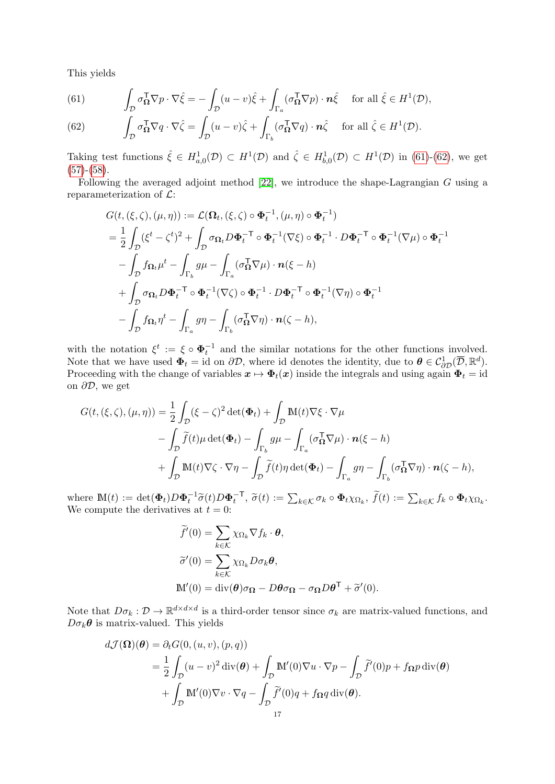This yields

<span id="page-16-0"></span>(61) 
$$
\int_{\mathcal{D}} \sigma_{\mathbf{\Omega}}^{\mathsf{T}} \nabla p \cdot \nabla \hat{\xi} = -\int_{\mathcal{D}} (u - v)\hat{\xi} + \int_{\Gamma_a} (\sigma_{\mathbf{\Omega}}^{\mathsf{T}} \nabla p) \cdot \mathbf{n} \hat{\xi} \quad \text{for all } \hat{\xi} \in H^1(\mathcal{D}),
$$

<span id="page-16-1"></span>(62) 
$$
\int_{\mathcal{D}} \sigma_{\mathbf{\Omega}}^{\mathsf{T}} \nabla q \cdot \nabla \hat{\zeta} = \int_{\mathcal{D}} (u - v) \hat{\zeta} + \int_{\Gamma_b} (\sigma_{\mathbf{\Omega}}^{\mathsf{T}} \nabla q) \cdot \mathbf{n} \hat{\zeta} \quad \text{for all } \hat{\zeta} \in H^1(\mathcal{D}).
$$

Taking test functions  $\hat{\xi} \in H^1_{a,0}(\mathcal{D}) \subset H^1(\mathcal{D})$  and  $\hat{\zeta} \in H^1_{b,0}(\mathcal{D}) \subset H^1(\mathcal{D})$  in [\(61\)](#page-16-0)-[\(62\)](#page-16-1), we get  $(57)-(58)$  $(57)-(58)$  $(57)-(58)$ .

Following the averaged adjoint method [\[22\]](#page-21-17), we introduce the shape-Lagrangian G using a reparameterization of  $\mathcal{L}$ :

$$
G(t, (\xi, \zeta), (\mu, \eta)) := \mathcal{L}(\Omega_t, (\xi, \zeta) \circ \Phi_t^{-1}, (\mu, \eta) \circ \Phi_t^{-1})
$$
  
\n
$$
= \frac{1}{2} \int_{\mathcal{D}} (\xi^t - \zeta^t)^2 + \int_{\mathcal{D}} \sigma_{\Omega_t} D \Phi_t^{-\mathsf{T}} \circ \Phi_t^{-1} (\nabla \xi) \circ \Phi_t^{-1} \cdot D \Phi_t^{-\mathsf{T}} \circ \Phi_t^{-1} (\nabla \mu) \circ \Phi_t^{-1}
$$
  
\n
$$
- \int_{\mathcal{D}} f_{\Omega_t} \mu^t - \int_{\Gamma_b} g \mu - \int_{\Gamma_a} (\sigma_{\Omega}^{\mathsf{T}} \nabla \mu) \cdot \mathbf{n}(\xi - h)
$$
  
\n
$$
+ \int_{\mathcal{D}} \sigma_{\Omega_t} D \Phi_t^{-\mathsf{T}} \circ \Phi_t^{-1} (\nabla \zeta) \circ \Phi_t^{-1} \cdot D \Phi_t^{-\mathsf{T}} \circ \Phi_t^{-1} (\nabla \eta) \circ \Phi_t^{-1}
$$
  
\n
$$
- \int_{\mathcal{D}} f_{\Omega_t} \eta^t - \int_{\Gamma_a} g \eta - \int_{\Gamma_b} (\sigma_{\Omega}^{\mathsf{T}} \nabla \eta) \cdot \mathbf{n}(\zeta - h),
$$

with the notation  $\xi^t := \xi \circ \Phi_t^{-1}$  and the similar notations for the other functions involved. Note that we have used  $\Phi_t = id$  on  $\partial \mathcal{D}$ , where id denotes the identity, due to  $\boldsymbol{\theta} \in \mathcal{C}_{\partial \mathcal{D}}^1(\overline{\mathcal{D}}, \mathbb{R}^d)$ . Proceeding with the change of variables  $x \mapsto \Phi_t(x)$  inside the integrals and using again  $\Phi_t = id$ on  $\partial \mathcal{D}$ , we get

$$
G(t,(\xi,\zeta),(\mu,\eta)) = \frac{1}{2} \int_{\mathcal{D}} (\xi-\zeta)^2 \det(\Phi_t) + \int_{\mathcal{D}} \mathbb{M}(t) \nabla \xi \cdot \nabla \mu
$$
  
-  $\int_{\mathcal{D}} \widetilde{f}(t) \mu \det(\Phi_t) - \int_{\Gamma_b} g \mu - \int_{\Gamma_a} (\sigma_{\Omega}^{\mathsf{T}} \nabla \mu) \cdot \mathbf{n}(\xi-h)$   
+  $\int_{\mathcal{D}} \mathbb{M}(t) \nabla \zeta \cdot \nabla \eta - \int_{\mathcal{D}} \widetilde{f}(t) \eta \det(\Phi_t) - \int_{\Gamma_a} g \eta - \int_{\Gamma_b} (\sigma_{\Omega}^{\mathsf{T}} \nabla \eta) \cdot \mathbf{n}(\zeta-h),$ 

where  $\mathbb{M}(t) := \det(\mathbf{\Phi}_t) D \mathbf{\Phi}_t^{-1} \widetilde{\sigma}(t) D \mathbf{\Phi}_t^{-T}, \ \widetilde{\sigma}(t) := \sum_{k \in \mathcal{K}} \sigma_k \circ \mathbf{\Phi}_t \chi_{\Omega_k}, \ \widetilde{f}(t) := \sum_{k \in \mathcal{K}} f_k \circ \mathbf{\Phi}_t \chi_{\Omega_k}.$ <br>We compute the derivatives at  $t = 0$ . We compute the derivatives at  $t = 0$ :

$$
\widetilde{f}'(0) = \sum_{k \in \mathcal{K}} \chi_{\Omega_k} \nabla f_k \cdot \boldsymbol{\theta},
$$

$$
\widetilde{\sigma}'(0) = \sum_{k \in \mathcal{K}} \chi_{\Omega_k} D \sigma_k \boldsymbol{\theta},
$$

$$
\mathbb{M}'(0) = \text{div}(\boldsymbol{\theta}) \sigma_{\Omega} - D \boldsymbol{\theta} \sigma_{\Omega} - \sigma_{\Omega} D \boldsymbol{\theta}^{\mathsf{T}} + \widetilde{\sigma}'(0).
$$

Note that  $D\sigma_k: \mathcal{D} \to \mathbb{R}^{d \times d \times d}$  is a third-order tensor since  $\sigma_k$  are matrix-valued functions, and  $D\sigma_k\theta$  is matrix-valued. This yields

$$
d\mathcal{J}(\mathbf{\Omega})(\boldsymbol{\theta}) = \partial_t G(0, (u, v), (p, q))
$$
  
=  $\frac{1}{2} \int_{\mathcal{D}} (u - v)^2 \operatorname{div}(\boldsymbol{\theta}) + \int_{\mathcal{D}} \mathbb{M}'(0) \nabla u \cdot \nabla p - \int_{\mathcal{D}} \tilde{f}'(0) p + f_{\mathbf{\Omega}} p \operatorname{div}(\boldsymbol{\theta})$   
+  $\int_{\mathcal{D}} \mathbb{M}'(0) \nabla v \cdot \nabla q - \int_{\mathcal{D}} \tilde{f}'(0) q + f_{\mathbf{\Omega}} q \operatorname{div}(\boldsymbol{\theta}).$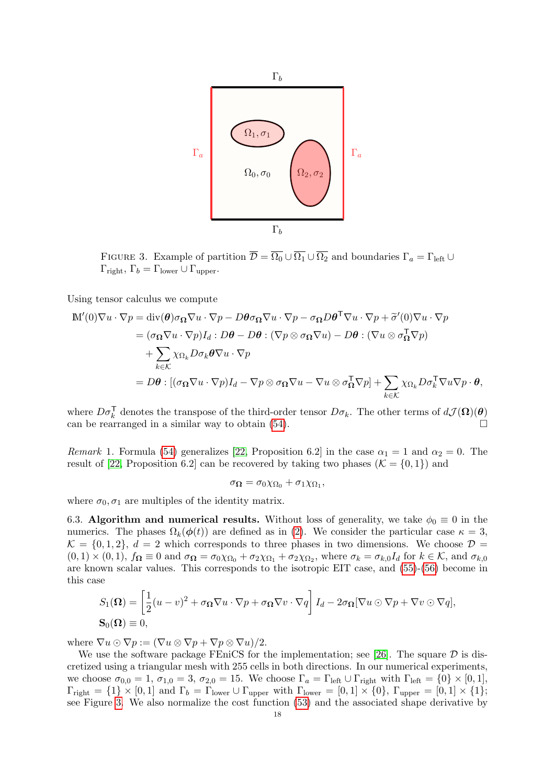<span id="page-17-1"></span>

FIGURE 3. Example of partition  $\overline{\mathcal{D}} = \overline{\Omega_0} \cup \overline{\Omega_1} \cup \overline{\Omega_2}$  and boundaries  $\Gamma_a = \Gamma_{\text{left}} \cup$  $\Gamma_{\text{right}}$ ,  $\Gamma_b = \Gamma_{\text{lower}} \cup \Gamma_{\text{upper}}$ .

Using tensor calculus we compute

$$
\begin{split} \mathbb{M}'(0)\nabla u \cdot \nabla p &= \text{div}(\boldsymbol{\theta})\sigma_{\Omega}\nabla u \cdot \nabla p - D\boldsymbol{\theta}\sigma_{\Omega}\nabla u \cdot \nabla p - \sigma_{\Omega}D\boldsymbol{\theta}^{\mathsf{T}}\nabla u \cdot \nabla p + \widetilde{\sigma}'(0)\nabla u \cdot \nabla p \\ &= (\sigma_{\Omega}\nabla u \cdot \nabla p)I_d : D\boldsymbol{\theta} - D\boldsymbol{\theta} : (\nabla p \otimes \sigma_{\Omega}\nabla u) - D\boldsymbol{\theta} : (\nabla u \otimes \sigma_{\Omega}^{\mathsf{T}}\nabla p) \\ &+ \sum_{k \in \mathcal{K}} \chi_{\Omega_k} D\sigma_k \boldsymbol{\theta}\nabla u \cdot \nabla p \\ &= D\boldsymbol{\theta} : [(\sigma_{\Omega}\nabla u \cdot \nabla p)I_d - \nabla p \otimes \sigma_{\Omega}\nabla u - \nabla u \otimes \sigma_{\Omega}^{\mathsf{T}}\nabla p] + \sum_{k \in \mathcal{K}} \chi_{\Omega_k} D\sigma_k^{\mathsf{T}}\nabla u \nabla p \cdot \boldsymbol{\theta}, \end{split}
$$

where  $D\sigma_k^{\mathsf{T}}$  denotes the transpose of the third-order tensor  $D\sigma_k$ . The other terms of  $d\mathcal{J}(\mathbf{\Omega})(\boldsymbol{\theta})$ can be rearranged in a similar way to obtain [\(54\)](#page-15-0).

Remark 1. Formula [\(54\)](#page-15-0) generalizes [\[22,](#page-21-17) Proposition 6.2] in the case  $\alpha_1 = 1$  and  $\alpha_2 = 0$ . The result of [\[22,](#page-21-17) Proposition 6.2] can be recovered by taking two phases ( $\mathcal{K} = \{0, 1\}$ ) and

$$
\sigma_{\mathbf{\Omega}} = \sigma_0 \chi_{\Omega_0} + \sigma_1 \chi_{\Omega_1},
$$

where  $\sigma_0, \sigma_1$  are multiples of the identity matrix.

<span id="page-17-0"></span>6.3. Algorithm and numerical results. Without loss of generality, we take  $\phi_0 \equiv 0$  in the numerics. The phases  $\Omega_k(\phi(t))$  are defined as in [\(2\)](#page-2-3). We consider the particular case  $\kappa = 3$ ,  $\mathcal{K} = \{0, 1, 2\}, d = 2$  which corresponds to three phases in two dimensions. We choose  $\mathcal{D} =$  $(0,1) \times (0,1)$ ,  $f_{\Omega} \equiv 0$  and  $\sigma_{\Omega} = \sigma_0 \chi_{\Omega_0} + \sigma_2 \chi_{\Omega_1} + \sigma_2 \chi_{\Omega_2}$ , where  $\sigma_k = \sigma_{k,0} I_d$  for  $k \in \mathcal{K}$ , and  $\sigma_{k,0}$ are known scalar values. This corresponds to the isotropic EIT case, and [\(55\)](#page-15-5)-[\(56\)](#page-15-6) become in this case

$$
S_1(\Omega) = \left[\frac{1}{2}(u-v)^2 + \sigma_\Omega \nabla u \cdot \nabla p + \sigma_\Omega \nabla v \cdot \nabla q\right] I_d - 2\sigma_\Omega [\nabla u \odot \nabla p + \nabla v \odot \nabla q],
$$
  
\n
$$
\mathbf{S}_0(\Omega) \equiv 0,
$$

where  $\nabla u \odot \nabla p := (\nabla u \otimes \nabla p + \nabla p \otimes \nabla u)/2.$ 

We use the software package FEniCS for the implementation; see [\[26\]](#page-21-28). The square  $\mathcal D$  is discretized using a triangular mesh with 255 cells in both directions. In our numerical experiments, we choose  $\sigma_{0,0} = 1$ ,  $\sigma_{1,0} = 3$ ,  $\sigma_{2,0} = 15$ . We choose  $\Gamma_a = \Gamma_{\text{left}} \cup \Gamma_{\text{right}}$  with  $\Gamma_{\text{left}} = \{0\} \times [0,1],$  $\Gamma_{\text{right}} = \{1\} \times [0, 1]$  and  $\Gamma_b = \Gamma_{\text{lower}} \cup \Gamma_{\text{upper}}$  with  $\Gamma_{\text{lower}} = [0, 1] \times \{0\}$ ,  $\Gamma_{\text{upper}} = [0, 1] \times \{1\}$ ; see Figure [3.](#page-17-1) We also normalize the cost function [\(53\)](#page-14-3) and the associated shape derivative by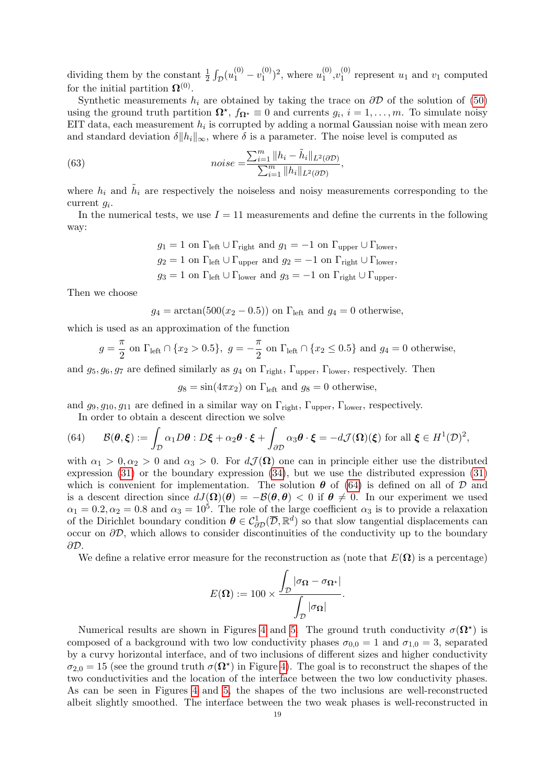dividing them by the constant  $\frac{1}{2} \int_{\mathcal{D}} (u_1^{(0)} - v_1^{(0)})$  $\binom{0}{1}^2$ , where  $u_1^{(0)}$  $\boldsymbol{v}_1^{(0)}, \boldsymbol{v}_1^{(0)}$  $v_1^{(0)}$  represent  $u_1$  and  $v_1$  computed for the initial partition  $\mathbf{\Omega}^{(0)}$ .

Synthetic measurements  $h_i$  are obtained by taking the trace on  $\partial \mathcal{D}$  of the solution of [\(50\)](#page-13-3) using the ground truth partition  $\Omega^*, f_{\Omega^*} \equiv 0$  and currents  $g_i, i = 1, \ldots, m$ . To simulate noisy EIT data, each measurement  $h_i$  is corrupted by adding a normal Gaussian noise with mean zero and standard deviation  $\delta ||h_i||_{\infty}$ , where  $\delta$  is a parameter. The noise level is computed as

(63) 
$$
noise = \frac{\sum_{i=1}^{m} ||h_i - \tilde{h}_i||_{L^2(\partial \mathcal{D})}}{\sum_{i=1}^{m} ||h_i||_{L^2(\partial \mathcal{D})}},
$$

where  $h_i$  and  $\tilde{h}_i$  are respectively the noiseless and noisy measurements corresponding to the current  $g_i$ .

In the numerical tests, we use  $I = 11$  measurements and define the currents in the following way:

$$
g_1 = 1
$$
 on  $\Gamma_{\text{left}} \cup \Gamma_{\text{right}}$  and  $g_1 = -1$  on  $\Gamma_{\text{upper}} \cup \Gamma_{\text{lower}}$ ,  
\n $g_2 = 1$  on  $\Gamma_{\text{left}} \cup \Gamma_{\text{upper}}$  and  $g_2 = -1$  on  $\Gamma_{\text{right}} \cup \Gamma_{\text{lower}}$ ,  
\n $g_3 = 1$  on  $\Gamma_{\text{left}} \cup \Gamma_{\text{lower}}$  and  $g_3 = -1$  on  $\Gamma_{\text{right}} \cup \Gamma_{\text{upper}}$ .

Then we choose

$$
g_4 = \arctan(500(x_2 - 0.5))
$$
 on  $\Gamma_{\text{left}}$  and  $g_4 = 0$  otherwise,

which is used as an approximation of the function

$$
g = \frac{\pi}{2}
$$
 on  $\Gamma_{\text{left}} \cap \{x_2 > 0.5\}$ ,  $g = -\frac{\pi}{2}$  on  $\Gamma_{\text{left}} \cap \{x_2 \le 0.5\}$  and  $g_4 = 0$  otherwise,

and  $g_5, g_6, g_7$  are defined similarly as  $g_4$  on  $\Gamma_{\text{right}}$ ,  $\Gamma_{\text{upper}}$ ,  $\Gamma_{\text{lower}}$ , respectively. Then

 $g_8 = \sin(4\pi x_2)$  on  $\Gamma_{\text{left}}$  and  $g_8 = 0$  otherwise,

and  $g_9, g_{10}, g_{11}$  are defined in a similar way on  $\Gamma_{\text{right}}$ ,  $\Gamma_{\text{upper}}$ ,  $\Gamma_{\text{lower}}$ , respectively.

<span id="page-18-0"></span>In order to obtain a descent direction we solve

(64) 
$$
\mathcal{B}(\boldsymbol{\theta},\boldsymbol{\xi}) := \int_{\mathcal{D}} \alpha_1 D\boldsymbol{\theta} : D\boldsymbol{\xi} + \alpha_2 \boldsymbol{\theta} \cdot \boldsymbol{\xi} + \int_{\partial \mathcal{D}} \alpha_3 \boldsymbol{\theta} \cdot \boldsymbol{\xi} = -d\mathcal{J}(\boldsymbol{\Omega})(\boldsymbol{\xi}) \text{ for all } \boldsymbol{\xi} \in H^1(\mathcal{D})^2,
$$

with  $\alpha_1 > 0, \alpha_2 > 0$  and  $\alpha_3 > 0$ . For  $d\mathcal{J}(\Omega)$  one can in principle either use the distributed expression [\(31\)](#page-9-1) or the boundary expression [\(34\)](#page-9-2), but we use the distributed expression [\(31\)](#page-9-1) which is convenient for implementation. The solution  $\theta$  of [\(64\)](#page-18-0) is defined on all of  $D$  and is a descent direction since  $dJ(\mathbf{\Omega})(\boldsymbol{\theta}) = -\mathcal{B}(\boldsymbol{\theta},\boldsymbol{\theta}) < 0$  if  $\boldsymbol{\theta} \neq 0$ . In our experiment we used  $\alpha_1 = 0.2, \alpha_2 = 0.8$  and  $\alpha_3 = 10^5$ . The role of the large coefficient  $\alpha_3$  is to provide a relaxation of the Dirichlet boundary condition  $\theta \in C^1_{\partial D}(\overline{D}, \mathbb{R}^d)$  so that slow tangential displacements can occur on  $\partial \mathcal{D}$ , which allows to consider discontinuities of the conductivity up to the boundary ∂D.

We define a relative error measure for the reconstruction as (note that  $E(\Omega)$ ) is a percentage)

$$
E(\mathbf{\Omega}) := 100 \times \frac{\int_{\mathcal{D}} |\sigma_{\mathbf{\Omega}} - \sigma_{\mathbf{\Omega}^{\star}}|}{\int_{\mathcal{D}} |\sigma_{\mathbf{\Omega}}|}.
$$

Numerical results are shown in Figures [4](#page-19-9) and [5.](#page-20-8) The ground truth conductivity  $\sigma(\Omega^*)$  is composed of a background with two low conductivity phases  $\sigma_{0.0} = 1$  and  $\sigma_{1.0} = 3$ , separated by a curvy horizontal interface, and of two inclusions of different sizes and higher conductivity  $\sigma_{2,0} = 15$  (see the ground truth  $\sigma(\Omega^*)$  in Figure [4\)](#page-19-9). The goal is to reconstruct the shapes of the two conductivities and the location of the interface between the two low conductivity phases. As can be seen in Figures [4](#page-19-9) and [5,](#page-20-8) the shapes of the two inclusions are well-reconstructed albeit slightly smoothed. The interface between the two weak phases is well-reconstructed in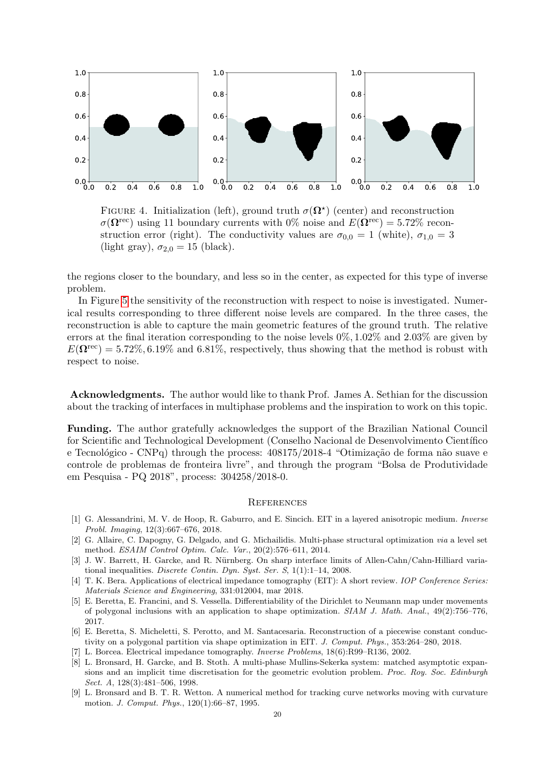<span id="page-19-9"></span>

FIGURE 4. Initialization (left), ground truth  $\sigma(\Omega^*)$  (center) and reconstruction  $\sigma(\Omega^{\text{rec}})$  using 11 boundary currents with 0% noise and  $E(\Omega^{\text{rec}}) = 5.72\%$  reconstruction error (right). The conductivity values are  $\sigma_{0,0} = 1$  (white),  $\sigma_{1,0} = 3$ (light gray),  $\sigma_{2,0} = 15$  (black).

the regions closer to the boundary, and less so in the center, as expected for this type of inverse problem.

In Figure [5](#page-20-8) the sensitivity of the reconstruction with respect to noise is investigated. Numerical results corresponding to three different noise levels are compared. In the three cases, the reconstruction is able to capture the main geometric features of the ground truth. The relative errors at the final iteration corresponding to the noise levels  $0\%, 1.02\%$  and  $2.03\%$  are given by  $E(\mathbf{\Omega}^{\text{rec}}) = 5.72\%, 6.19\%$  and 6.81%, respectively, thus showing that the method is robust with respect to noise.

Acknowledgments. The author would like to thank Prof. James A. Sethian for the discussion about the tracking of interfaces in multiphase problems and the inspiration to work on this topic.

Funding. The author gratefully acknowledges the support of the Brazilian National Council for Scientific and Technological Development (Conselho Nacional de Desenvolvimento Científico e Tecnológico - CNPq) through the process: 408175/2018-4 "Otimização de forma não suave e controle de problemas de fronteira livre", and through the program "Bolsa de Produtividade em Pesquisa - PQ 2018", process: 304258/2018-0.

#### **REFERENCES**

- <span id="page-19-8"></span>[1] G. Alessandrini, M. V. de Hoop, R. Gaburro, and E. Sincich. EIT in a layered anisotropic medium. Inverse Probl. Imaging, 12(3):667–676, 2018.
- <span id="page-19-0"></span>[2] G. Allaire, C. Dapogny, G. Delgado, and G. Michailidis. Multi-phase structural optimization via a level set method. ESAIM Control Optim. Calc. Var., 20(2):576–611, 2014.
- <span id="page-19-2"></span>[3] J. W. Barrett, H. Garcke, and R. Nürnberg. On sharp interface limits of Allen-Cahn/Cahn-Hilliard variational inequalities. Discrete Contin. Dyn. Syst. Ser. S, 1(1):1–14, 2008.
- <span id="page-19-6"></span>[4] T. K. Bera. Applications of electrical impedance tomography (EIT): A short review. IOP Conference Series: Materials Science and Engineering, 331:012004, mar 2018.
- <span id="page-19-4"></span>[5] E. Beretta, E. Francini, and S. Vessella. Differentiability of the Dirichlet to Neumann map under movements of polygonal inclusions with an application to shape optimization. SIAM J. Math. Anal., 49(2):756–776, 2017.
- <span id="page-19-5"></span>[6] E. Beretta, S. Micheletti, S. Perotto, and M. Santacesaria. Reconstruction of a piecewise constant conductivity on a polygonal partition via shape optimization in EIT. J. Comput. Phys., 353:264–280, 2018.
- <span id="page-19-7"></span>[7] L. Borcea. Electrical impedance tomography. Inverse Problems, 18(6):R99–R136, 2002.
- <span id="page-19-3"></span>[8] L. Bronsard, H. Garcke, and B. Stoth. A multi-phase Mullins-Sekerka system: matched asymptotic expansions and an implicit time discretisation for the geometric evolution problem. Proc. Roy. Soc. Edinburgh Sect. A, 128(3):481–506, 1998.
- <span id="page-19-1"></span>[9] L. Bronsard and B. T. R. Wetton. A numerical method for tracking curve networks moving with curvature motion. J. Comput. Phys., 120(1):66–87, 1995.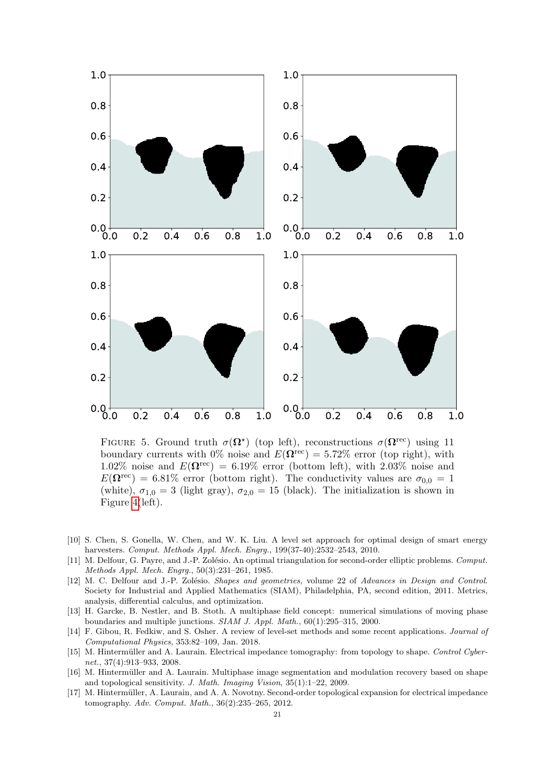<span id="page-20-8"></span>

FIGURE 5. Ground truth  $\sigma(\Omega^*)$  (top left), reconstructions  $\sigma(\Omega^{\text{rec}})$  using 11 boundary currents with 0% noise and  $E(\mathbf{\Omega}^{\text{rec}}) = 5.72\%$  error (top right), with 1.02% noise and  $E(\mathbf{\Omega}^{\text{rec}}) = 6.19\%$  error (bottom left), with 2.03% noise and  $E(\mathbf{\Omega}^{\text{rec}}) = 6.81\%$  error (bottom right). The conductivity values are  $\sigma_{0,0} = 1$ (white),  $\sigma_{1,0} = 3$  (light gray),  $\sigma_{2,0} = 15$  (black). The initialization is shown in Figure [4\(](#page-19-9)left).

- <span id="page-20-2"></span>[10] S. Chen, S. Gonella, W. Chen, and W. K. Liu. A level set approach for optimal design of smart energy harvesters. Comput. Methods Appl. Mech. Engrg., 199(37-40):2532–2543, 2010.
- <span id="page-20-5"></span>[11] M. Delfour, G. Payre, and J.-P. Zolésio. An optimal triangulation for second-order elliptic problems. Comput. Methods Appl. Mech. Engrg., 50(3):231–261, 1985.
- <span id="page-20-4"></span>[12] M. C. Delfour and J.-P. Zolésio. Shapes and geometries, volume 22 of Advances in Design and Control. Society for Industrial and Applied Mathematics (SIAM), Philadelphia, PA, second edition, 2011. Metrics, analysis, differential calculus, and optimization.
- <span id="page-20-3"></span>[13] H. Garcke, B. Nestler, and B. Stoth. A multiphase field concept: numerical simulations of moving phase boundaries and multiple junctions. SIAM J. Appl. Math., 60(1):295–315, 2000.
- <span id="page-20-0"></span>[14] F. Gibou, R. Fedkiw, and S. Osher. A review of level-set methods and some recent applications. Journal of Computational Physics, 353:82–109, Jan. 2018.
- <span id="page-20-6"></span>[15] M. Hintermüller and A. Laurain. Electrical impedance tomography: from topology to shape. Control Cybernet., 37(4):913–933, 2008.
- <span id="page-20-1"></span>[16] M. Hintermüller and A. Laurain. Multiphase image segmentation and modulation recovery based on shape and topological sensitivity. J. Math. Imaging Vision, 35(1):1–22, 2009.
- <span id="page-20-7"></span>[17] M. Hintermüller, A. Laurain, and A. A. Novotny. Second-order topological expansion for electrical impedance tomography. Adv. Comput. Math., 36(2):235–265, 2012.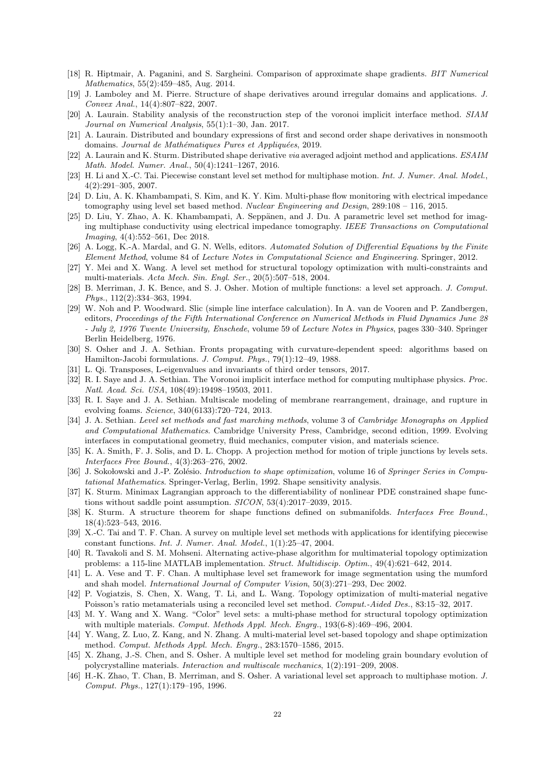- <span id="page-21-20"></span>[18] R. Hiptmair, A. Paganini, and S. Sargheini. Comparison of approximate shape gradients. BIT Numerical Mathematics, 55(2):459–485, Aug. 2014.
- <span id="page-21-24"></span>[19] J. Lamboley and M. Pierre. Structure of shape derivatives around irregular domains and applications. J. Convex Anal., 14(4):807–822, 2007.
- <span id="page-21-13"></span>[20] A. Laurain. Stability analysis of the reconstruction step of the voronoi implicit interface method. SIAM Journal on Numerical Analysis, 55(1):1–30, Jan. 2017.
- <span id="page-21-19"></span>[21] A. Laurain. Distributed and boundary expressions of first and second order shape derivatives in nonsmooth domains. Journal de Mathématiques Pures et Appliquées, 2019.
- <span id="page-21-17"></span>[22] A. Laurain and K. Sturm. Distributed shape derivative via averaged adjoint method and applications. ESAIM Math. Model. Numer. Anal., 50(4):1241–1267, 2016.
- <span id="page-21-9"></span>[23] H. Li and X.-C. Tai. Piecewise constant level set method for multiphase motion. Int. J. Numer. Anal. Model., 4(2):291–305, 2007.
- <span id="page-21-21"></span>[24] D. Liu, A. K. Khambampati, S. Kim, and K. Y. Kim. Multi-phase flow monitoring with electrical impedance tomography using level set based method. Nuclear Engineering and Design, 289:108 – 116, 2015.
- <span id="page-21-23"></span>[25] D. Liu, Y. Zhao, A. K. Khambampati, A. Seppänen, and J. Du. A parametric level set method for imaging multiphase conductivity using electrical impedance tomography. IEEE Transactions on Computational Imaging, 4(4):552–561, Dec 2018.
- <span id="page-21-28"></span>[26] A. Logg, K.-A. Mardal, and G. N. Wells, editors. Automated Solution of Differential Equations by the Finite Element Method, volume 84 of Lecture Notes in Computational Science and Engineering. Springer, 2012.
- <span id="page-21-3"></span>[27] Y. Mei and X. Wang. A level set method for structural topology optimization with multi-constraints and multi-materials. Acta Mech. Sin. Engl. Ser., 20(5):507–518, 2004.
- <span id="page-21-8"></span>[28] B. Merriman, J. K. Bence, and S. J. Osher. Motion of multiple functions: a level set approach. J. Comput. Phys., 112(2):334–363, 1994.
- <span id="page-21-14"></span>[29] W. Noh and P. Woodward. Slic (simple line interface calculation). In A. van de Vooren and P. Zandbergen, editors, Proceedings of the Fifth International Conference on Numerical Methods in Fluid Dynamics June 28 - July 2, 1976 Twente University, Enschede, volume 59 of Lecture Notes in Physics, pages 330–340. Springer Berlin Heidelberg, 1976.
- <span id="page-21-0"></span>[30] S. Osher and J. A. Sethian. Fronts propagating with curvature-dependent speed: algorithms based on Hamilton-Jacobi formulations. J. Comput. Phys., 79(1):12–49, 1988.
- <span id="page-21-26"></span>[31] L. Qi. Transposes, L-eigenvalues and invariants of third order tensors, 2017.
- <span id="page-21-11"></span>[32] R. I. Saye and J. A. Sethian. The Voronoi implicit interface method for computing multiphase physics. Proc. Natl. Acad. Sci. USA, 108(49):19498–19503, 2011.
- <span id="page-21-12"></span>[33] R. I. Saye and J. A. Sethian. Multiscale modeling of membrane rearrangement, drainage, and rupture in evolving foams. Science, 340(6133):720–724, 2013.
- <span id="page-21-1"></span>[34] J. A. Sethian. Level set methods and fast marching methods, volume 3 of Cambridge Monographs on Applied and Computational Mathematics. Cambridge University Press, Cambridge, second edition, 1999. Evolving interfaces in computational geometry, fluid mechanics, computer vision, and materials science.
- <span id="page-21-10"></span>[35] K. A. Smith, F. J. Solis, and D. L. Chopp. A projection method for motion of triple junctions by levels sets. Interfaces Free Bound., 4(3):263–276, 2002.
- <span id="page-21-18"></span>[36] J. Sokołowski and J.-P. Zolésio. Introduction to shape optimization, volume 16 of Springer Series in Computational Mathematics. Springer-Verlag, Berlin, 1992. Shape sensitivity analysis.
- <span id="page-21-27"></span>[37] K. Sturm. Minimax Lagrangian approach to the differentiability of nonlinear PDE constrained shape functions without saddle point assumption. SICON, 53(4):2017–2039, 2015.
- <span id="page-21-25"></span>[38] K. Sturm. A structure theorem for shape functions defined on submanifolds. Interfaces Free Bound., 18(4):523–543, 2016.
- <span id="page-21-22"></span>[39] X.-C. Tai and T. F. Chan. A survey on multiple level set methods with applications for identifying piecewise constant functions. Int. J. Numer. Anal. Model., 1(1):25–47, 2004.
- <span id="page-21-16"></span>[40] R. Tavakoli and S. M. Mohseni. Alternating active-phase algorithm for multimaterial topology optimization problems: a 115-line MATLAB implementation. Struct. Multidiscip. Optim., 49(4):621-642, 2014.
- <span id="page-21-2"></span>[41] L. A. Vese and T. F. Chan. A multiphase level set framework for image segmentation using the mumford and shah model. International Journal of Computer Vision, 50(3):271–293, Dec 2002.
- <span id="page-21-6"></span>[42] P. Vogiatzis, S. Chen, X. Wang, T. Li, and L. Wang. Topology optimization of multi-material negative Poisson's ratio metamaterials using a reconciled level set method. Comput.-Aided Des., 83:15–32, 2017.
- <span id="page-21-4"></span>[43] M. Y. Wang and X. Wang. "Color" level sets: a multi-phase method for structural topology optimization with multiple materials. Comput. Methods Appl. Mech. Engrg., 193(6-8):469–496, 2004.
- <span id="page-21-5"></span>[44] Y. Wang, Z. Luo, Z. Kang, and N. Zhang. A multi-material level set-based topology and shape optimization method. Comput. Methods Appl. Mech. Engrg., 283:1570–1586, 2015.
- <span id="page-21-7"></span>[45] X. Zhang, J.-S. Chen, and S. Osher. A multiple level set method for modeling grain boundary evolution of polycrystalline materials. Interaction and multiscale mechanics, 1(2):191–209, 2008.
- <span id="page-21-15"></span>[46] H.-K. Zhao, T. Chan, B. Merriman, and S. Osher. A variational level set approach to multiphase motion. J. Comput. Phys., 127(1):179–195, 1996.